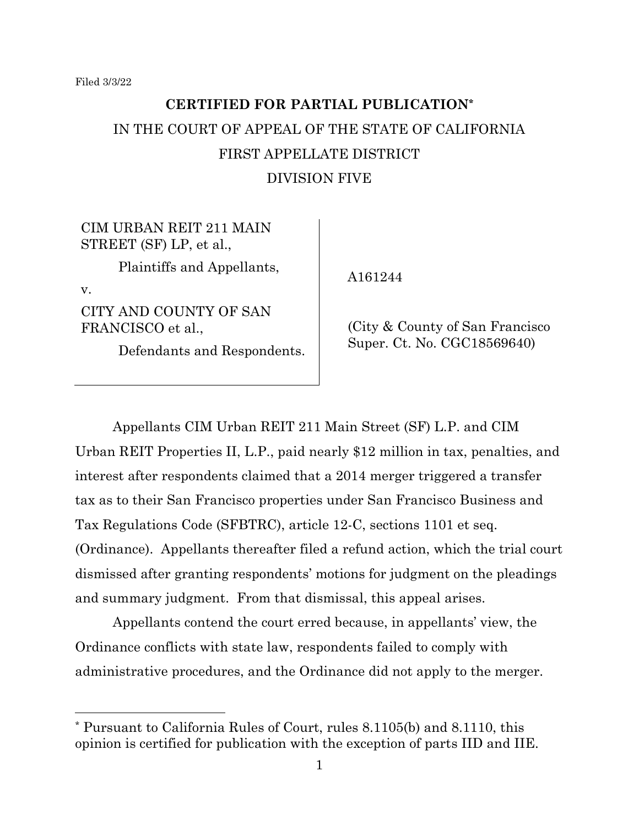# **CERTIFIED FOR PARTIAL PUBLICATION\*** IN THE COURT OF APPEAL OF THE STATE OF CALIFORNIA FIRST APPELLATE DISTRICT DIVISION FIVE

## CIM URBAN REIT 211 MAIN STREET (SF) LP, et al.,

Plaintiffs and Appellants,

v.

CITY AND COUNTY OF SAN FRANCISCO et al.,

Defendants and Respondents.

A161244

(City & County of San Francisco Super. Ct. No. CGC18569640)

Appellants CIM Urban REIT 211 Main Street (SF) L.P. and CIM Urban REIT Properties II, L.P., paid nearly \$12 million in tax, penalties, and interest after respondents claimed that a 2014 merger triggered a transfer tax as to their San Francisco properties under San Francisco Business and Tax Regulations Code (SFBTRC), article 12-C, sections 1101 et seq. (Ordinance). Appellants thereafter filed a refund action, which the trial court dismissed after granting respondents' motions for judgment on the pleadings and summary judgment. From that dismissal, this appeal arises.

Appellants contend the court erred because, in appellants' view, the Ordinance conflicts with state law, respondents failed to comply with administrative procedures, and the Ordinance did not apply to the merger.

<sup>\*</sup> Pursuant to California Rules of Court, rules 8.1105(b) and 8.1110, this opinion is certified for publication with the exception of parts IID and IIE.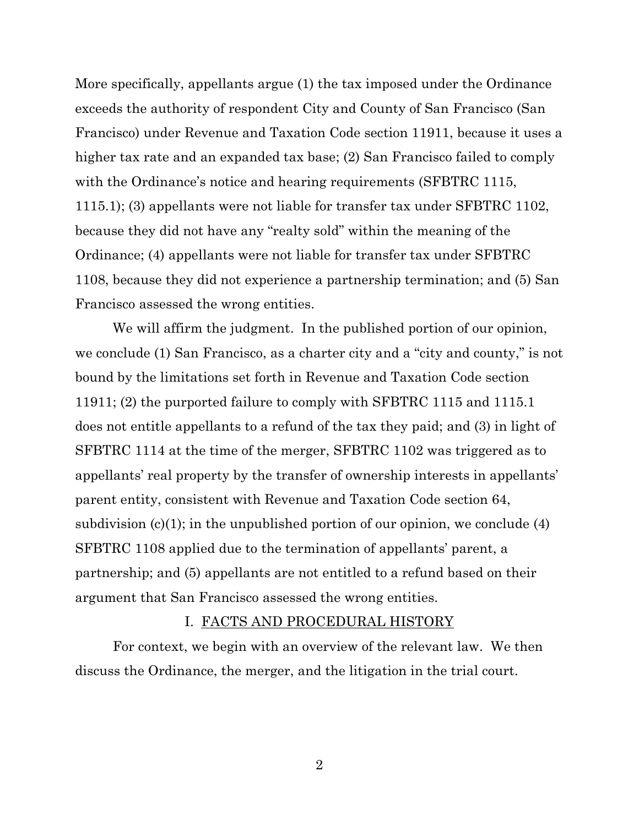More specifically, appellants argue (1) the tax imposed under the Ordinance exceeds the authority of respondent City and County of San Francisco (San Francisco) under Revenue and Taxation Code section 11911, because it uses a higher tax rate and an expanded tax base; (2) San Francisco failed to comply with the Ordinance's notice and hearing requirements (SFBTRC 1115, 1115.1); (3) appellants were not liable for transfer tax under SFBTRC 1102, because they did not have any "realty sold" within the meaning of the Ordinance; (4) appellants were not liable for transfer tax under SFBTRC 1108, because they did not experience a partnership termination; and (5) San Francisco assessed the wrong entities.

We will affirm the judgment. In the published portion of our opinion, we conclude (1) San Francisco, as a charter city and a "city and county," is not bound by the limitations set forth in Revenue and Taxation Code section 11911; (2) the purported failure to comply with SFBTRC 1115 and 1115.1 does not entitle appellants to a refund of the tax they paid; and (3) in light of SFBTRC 1114 at the time of the merger, SFBTRC 1102 was triggered as to appellants' real property by the transfer of ownership interests in appellants' parent entity, consistent with Revenue and Taxation Code section 64, subdivision  $(c)(1)$ ; in the unpublished portion of our opinion, we conclude  $(4)$ SFBTRC 1108 applied due to the termination of appellants' parent, a partnership; and (5) appellants are not entitled to a refund based on their argument that San Francisco assessed the wrong entities.

#### I. FACTS AND PROCEDURAL HISTORY

For context, we begin with an overview of the relevant law. We then discuss the Ordinance, the merger, and the litigation in the trial court.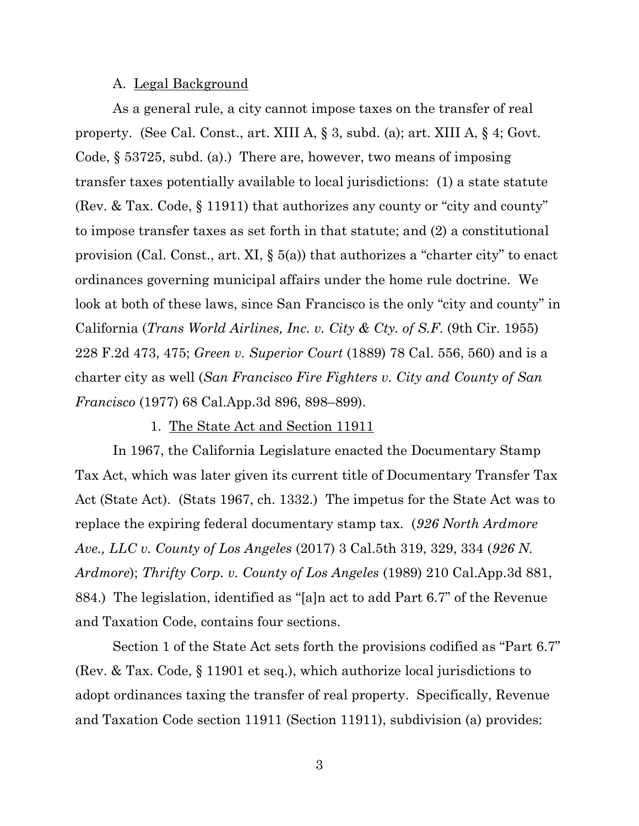#### A. Legal Background

As a general rule, a city cannot impose taxes on the transfer of real property. (See Cal. Const., art. XIII A, § 3, subd. (a); art. XIII A, § 4; Govt. Code, § 53725, subd. (a).) There are, however, two means of imposing transfer taxes potentially available to local jurisdictions: (1) a state statute (Rev. & Tax. Code, § 11911) that authorizes any county or "city and county" to impose transfer taxes as set forth in that statute; and (2) a constitutional provision (Cal. Const., art. XI, § 5(a)) that authorizes a "charter city" to enact ordinances governing municipal affairs under the home rule doctrine. We look at both of these laws, since San Francisco is the only "city and county" in California (*Trans World Airlines, Inc. v. City & Cty. of S.F*. (9th Cir. 1955) 228 F.2d 473, 475; *Green v. Superior Court* (1889) 78 Cal. 556, 560) and is a charter city as well (*San Francisco Fire Fighters v. City and County of San Francisco* (1977) 68 Cal.App.3d 896, 898–899).

1. The State Act and Section 11911

In 1967, the California Legislature enacted the Documentary Stamp Tax Act, which was later given its current title of Documentary Transfer Tax Act (State Act). (Stats 1967, ch. 1332.) The impetus for the State Act was to replace the expiring federal documentary stamp tax. (*926 North Ardmore Ave., LLC v. County of Los Angeles* (2017) 3 Cal.5th 319, 329, 334 (*926 N. Ardmore*); *Thrifty Corp. v. County of Los Angeles* (1989) 210 Cal.App.3d 881, 884.) The legislation, identified as "[a]n act to add Part 6.7" of the Revenue and Taxation Code, contains four sections.

Section 1 of the State Act sets forth the provisions codified as "Part 6.7" (Rev. & Tax. Code, § 11901 et seq.), which authorize local jurisdictions to adopt ordinances taxing the transfer of real property. Specifically, Revenue and Taxation Code section 11911 (Section 11911), subdivision (a) provides: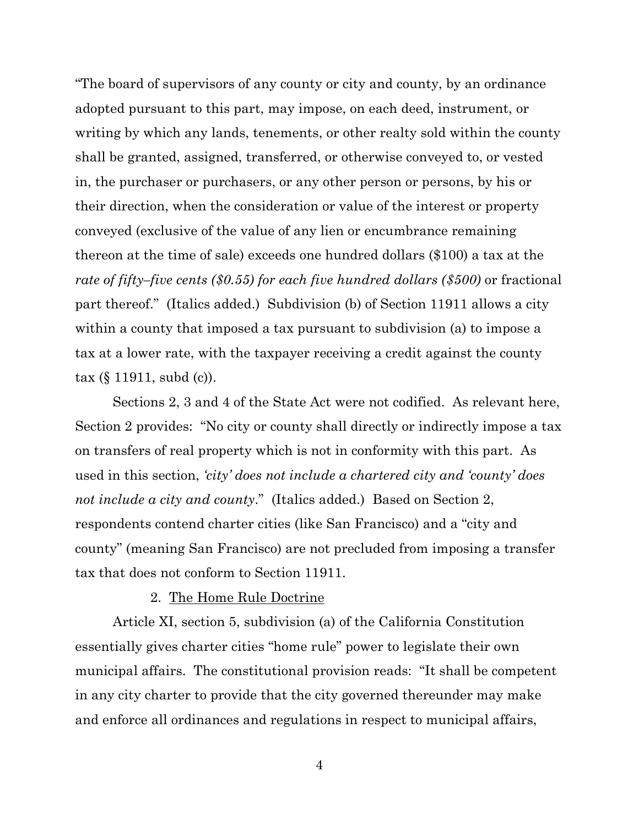"The board of supervisors of any county or city and county, by an ordinance adopted pursuant to this part, may impose, on each deed, instrument, or writing by which any lands, tenements, or other realty sold within the county shall be granted, assigned, transferred, or otherwise conveyed to, or vested in, the purchaser or purchasers, or any other person or persons, by his or their direction, when the consideration or value of the interest or property conveyed (exclusive of the value of any lien or encumbrance remaining thereon at the time of sale) exceeds one hundred dollars (\$100) a tax at the *rate of fifty–five cents (\$0.55) for each five hundred dollars (\$500)* or fractional part thereof." (Italics added.) Subdivision (b) of Section 11911 allows a city within a county that imposed a tax pursuant to subdivision (a) to impose a tax at a lower rate, with the taxpayer receiving a credit against the county tax (§ 11911, subd (c)).

Sections 2, 3 and 4 of the State Act were not codified. As relevant here, Section 2 provides: "No city or county shall directly or indirectly impose a tax on transfers of real property which is not in conformity with this part. As used in this section, *'city' does not include a chartered city and 'county' does not include a city and county*." (Italics added.) Based on Section 2, respondents contend charter cities (like San Francisco) and a "city and county" (meaning San Francisco) are not precluded from imposing a transfer tax that does not conform to Section 11911.

## 2. The Home Rule Doctrine

Article XI, section 5, subdivision (a) of the California Constitution essentially gives charter cities "home rule" power to legislate their own municipal affairs. The constitutional provision reads: "It shall be competent in any city charter to provide that the city governed thereunder may make and enforce all ordinances and regulations in respect to municipal affairs,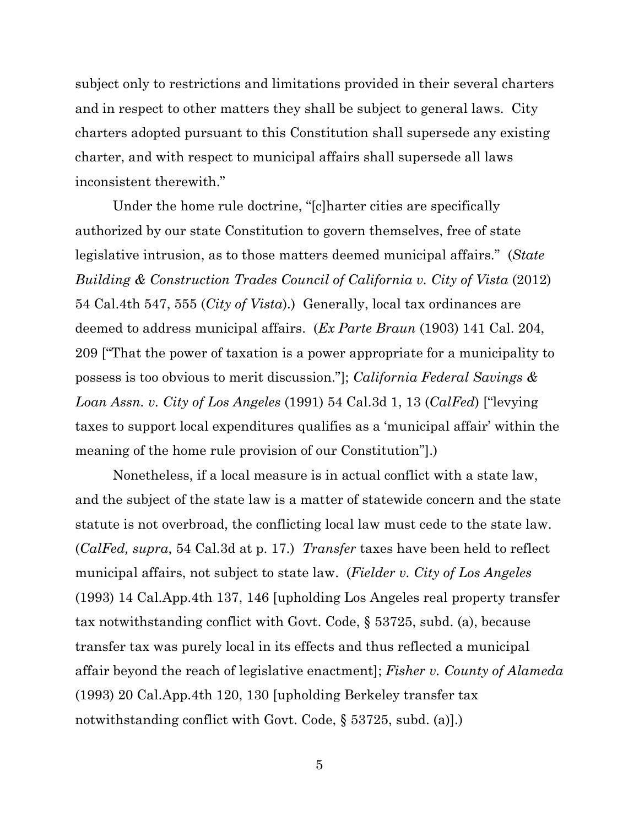subject only to restrictions and limitations provided in their several charters and in respect to other matters they shall be subject to general laws. City charters adopted pursuant to this Constitution shall supersede any existing charter, and with respect to municipal affairs shall supersede all laws inconsistent therewith."

Under the home rule doctrine, "[c]harter cities are specifically authorized by our state Constitution to govern themselves, free of state legislative intrusion, as to those matters deemed municipal affairs." (*State Building & Construction Trades Council of California v. City of Vista* (2012) 54 Cal.4th 547, 555 (*City of Vista*).) Generally, local tax ordinances are deemed to address municipal affairs. (*Ex Parte Braun* (1903) 141 Cal. 204, 209 ["That the power of taxation is a power appropriate for a municipality to possess is too obvious to merit discussion."]; *California Federal Savings & Loan Assn. v. City of Los Angeles* (1991) 54 Cal.3d 1, 13 (*CalFed*) ["levying taxes to support local expenditures qualifies as a 'municipal affair' within the meaning of the home rule provision of our Constitution"].)

Nonetheless, if a local measure is in actual conflict with a state law, and the subject of the state law is a matter of statewide concern and the state statute is not overbroad, the conflicting local law must cede to the state law. (*CalFed, supra*, 54 Cal.3d at p. 17.) *Transfer* taxes have been held to reflect municipal affairs, not subject to state law. (*Fielder v. City of Los Angeles* (1993) 14 Cal.App.4th 137, 146 [upholding Los Angeles real property transfer tax notwithstanding conflict with Govt. Code, § 53725, subd. (a), because transfer tax was purely local in its effects and thus reflected a municipal affair beyond the reach of legislative enactment]; *Fisher v. County of Alameda* (1993) 20 Cal.App.4th 120, 130 [upholding Berkeley transfer tax notwithstanding conflict with Govt. Code, § 53725, subd. (a).)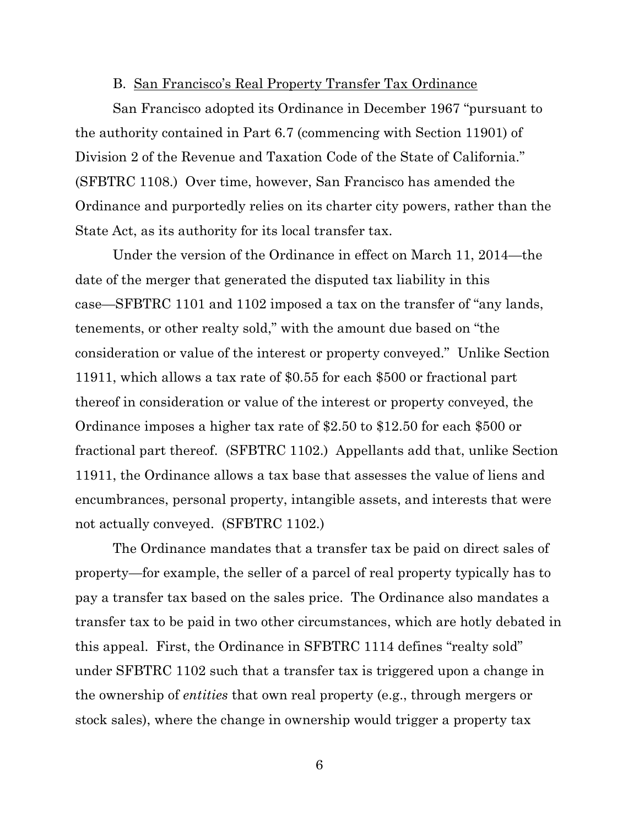#### B. San Francisco's Real Property Transfer Tax Ordinance

San Francisco adopted its Ordinance in December 1967 "pursuant to the authority contained in Part 6.7 (commencing with Section 11901) of Division 2 of the Revenue and Taxation Code of the State of California." (SFBTRC 1108.) Over time, however, San Francisco has amended the Ordinance and purportedly relies on its charter city powers, rather than the State Act, as its authority for its local transfer tax.

Under the version of the Ordinance in effect on March 11, 2014—the date of the merger that generated the disputed tax liability in this case—SFBTRC 1101 and 1102 imposed a tax on the transfer of "any lands, tenements, or other realty sold," with the amount due based on "the consideration or value of the interest or property conveyed." Unlike Section 11911, which allows a tax rate of \$0.55 for each \$500 or fractional part thereof in consideration or value of the interest or property conveyed, the Ordinance imposes a higher tax rate of \$2.50 to \$12.50 for each \$500 or fractional part thereof. (SFBTRC 1102.) Appellants add that, unlike Section 11911, the Ordinance allows a tax base that assesses the value of liens and encumbrances, personal property, intangible assets, and interests that were not actually conveyed. (SFBTRC 1102.)

The Ordinance mandates that a transfer tax be paid on direct sales of property—for example, the seller of a parcel of real property typically has to pay a transfer tax based on the sales price. The Ordinance also mandates a transfer tax to be paid in two other circumstances, which are hotly debated in this appeal. First, the Ordinance in SFBTRC 1114 defines "realty sold" under SFBTRC 1102 such that a transfer tax is triggered upon a change in the ownership of *entities* that own real property (e.g., through mergers or stock sales), where the change in ownership would trigger a property tax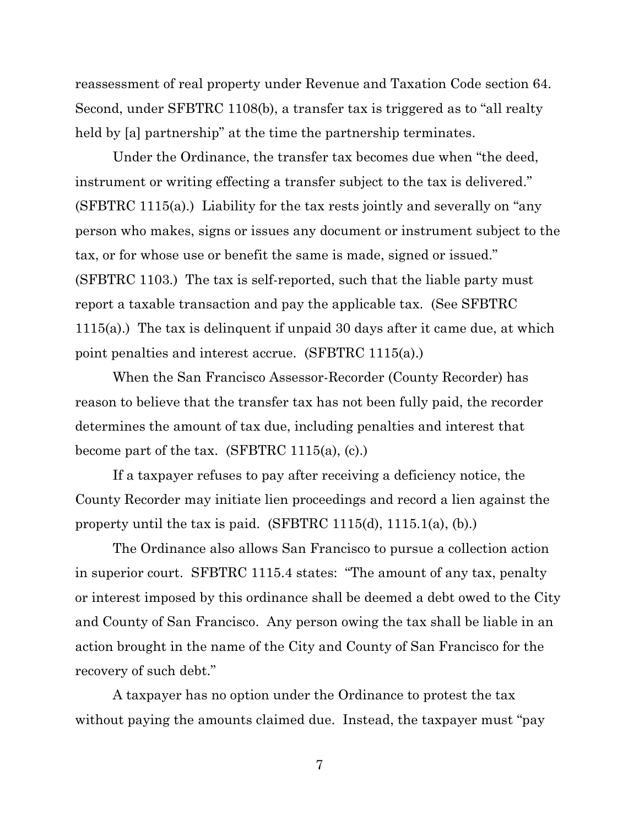reassessment of real property under Revenue and Taxation Code section 64. Second, under SFBTRC 1108(b), a transfer tax is triggered as to "all realty held by [a] partnership" at the time the partnership terminates.

Under the Ordinance, the transfer tax becomes due when "the deed, instrument or writing effecting a transfer subject to the tax is delivered." (SFBTRC 1115(a).) Liability for the tax rests jointly and severally on "any person who makes, signs or issues any document or instrument subject to the tax, or for whose use or benefit the same is made, signed or issued." (SFBTRC 1103.) The tax is self-reported, such that the liable party must report a taxable transaction and pay the applicable tax. (See SFBTRC 1115(a).) The tax is delinquent if unpaid 30 days after it came due, at which point penalties and interest accrue. (SFBTRC 1115(a).)

When the San Francisco Assessor-Recorder (County Recorder) has reason to believe that the transfer tax has not been fully paid, the recorder determines the amount of tax due, including penalties and interest that become part of the tax. (SFBTRC 1115(a),  $(c)$ .)

If a taxpayer refuses to pay after receiving a deficiency notice, the County Recorder may initiate lien proceedings and record a lien against the property until the tax is paid. (SFBTRC 1115(d), 1115.1(a), (b).)

The Ordinance also allows San Francisco to pursue a collection action in superior court. SFBTRC 1115.4 states: "The amount of any tax, penalty or interest imposed by this ordinance shall be deemed a debt owed to the City and County of San Francisco. Any person owing the tax shall be liable in an action brought in the name of the City and County of San Francisco for the recovery of such debt."

A taxpayer has no option under the Ordinance to protest the tax without paying the amounts claimed due. Instead, the taxpayer must "pay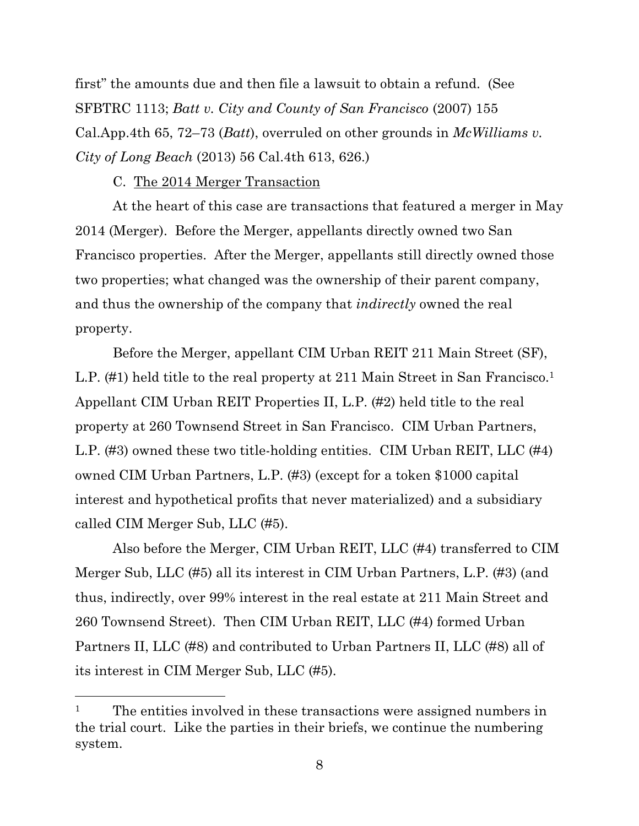first" the amounts due and then file a lawsuit to obtain a refund. (See SFBTRC 1113; *Batt v. City and County of San Francisco* (2007) 155 Cal.App.4th 65, 72–73 (*Batt*), overruled on other grounds in *McWilliams v. City of Long Beach* (2013) 56 Cal.4th 613, 626.)

C. The 2014 Merger Transaction

At the heart of this case are transactions that featured a merger in May 2014 (Merger). Before the Merger, appellants directly owned two San Francisco properties. After the Merger, appellants still directly owned those two properties; what changed was the ownership of their parent company, and thus the ownership of the company that *indirectly* owned the real property.

Before the Merger, appellant CIM Urban REIT 211 Main Street (SF), L.P. (#1) held title to the real property at 211 Main Street in San Francisco.<sup>1</sup> Appellant CIM Urban REIT Properties II, L.P. (#2) held title to the real property at 260 Townsend Street in San Francisco. CIM Urban Partners, L.P. (#3) owned these two title-holding entities. CIM Urban REIT, LLC (#4) owned CIM Urban Partners, L.P. (#3) (except for a token \$1000 capital interest and hypothetical profits that never materialized) and a subsidiary called CIM Merger Sub, LLC (#5).

Also before the Merger, CIM Urban REIT, LLC (#4) transferred to CIM Merger Sub, LLC (#5) all its interest in CIM Urban Partners, L.P. (#3) (and thus, indirectly, over 99% interest in the real estate at 211 Main Street and 260 Townsend Street). Then CIM Urban REIT, LLC (#4) formed Urban Partners II, LLC (#8) and contributed to Urban Partners II, LLC (#8) all of its interest in CIM Merger Sub, LLC (#5).

<sup>&</sup>lt;sup>1</sup> The entities involved in these transactions were assigned numbers in the trial court. Like the parties in their briefs, we continue the numbering system.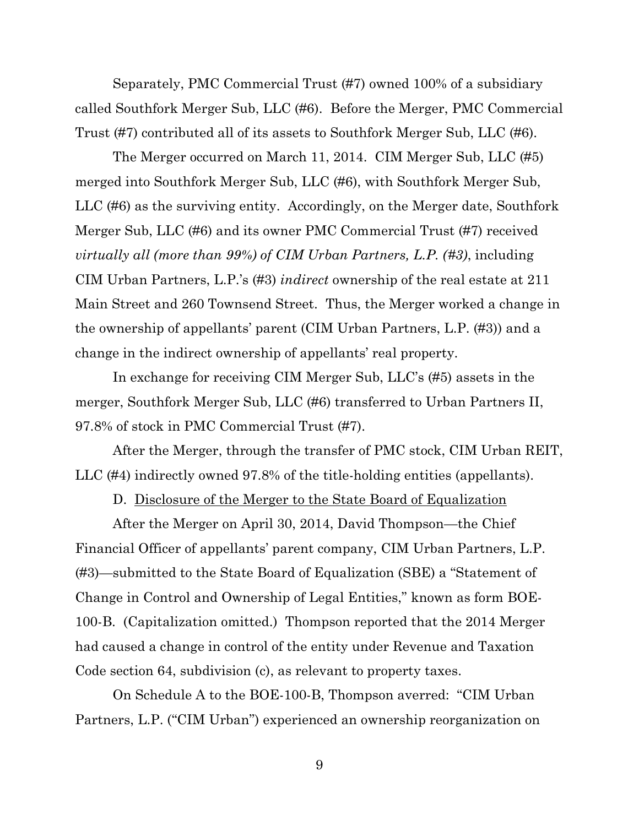Separately, PMC Commercial Trust (#7) owned 100% of a subsidiary called Southfork Merger Sub, LLC (#6). Before the Merger, PMC Commercial Trust (#7) contributed all of its assets to Southfork Merger Sub, LLC (#6).

The Merger occurred on March 11, 2014. CIM Merger Sub, LLC (#5) merged into Southfork Merger Sub, LLC (#6), with Southfork Merger Sub, LLC (#6) as the surviving entity. Accordingly, on the Merger date, Southfork Merger Sub, LLC (#6) and its owner PMC Commercial Trust (#7) received *virtually all (more than 99%) of CIM Urban Partners, L.P. (#3)*, including CIM Urban Partners, L.P.'s (#3) *indirect* ownership of the real estate at 211 Main Street and 260 Townsend Street. Thus, the Merger worked a change in the ownership of appellants' parent (CIM Urban Partners, L.P. (#3)) and a change in the indirect ownership of appellants' real property.

In exchange for receiving CIM Merger Sub, LLC's (#5) assets in the merger, Southfork Merger Sub, LLC (#6) transferred to Urban Partners II, 97.8% of stock in PMC Commercial Trust (#7).

After the Merger, through the transfer of PMC stock, CIM Urban REIT, LLC (#4) indirectly owned 97.8% of the title-holding entities (appellants).

D. Disclosure of the Merger to the State Board of Equalization

After the Merger on April 30, 2014, David Thompson—the Chief Financial Officer of appellants' parent company, CIM Urban Partners, L.P. (#3)—submitted to the State Board of Equalization (SBE) a "Statement of Change in Control and Ownership of Legal Entities," known as form BOE-100-B. (Capitalization omitted.) Thompson reported that the 2014 Merger had caused a change in control of the entity under Revenue and Taxation Code section 64, subdivision (c), as relevant to property taxes.

On Schedule A to the BOE-100-B, Thompson averred: "CIM Urban Partners, L.P. ("CIM Urban") experienced an ownership reorganization on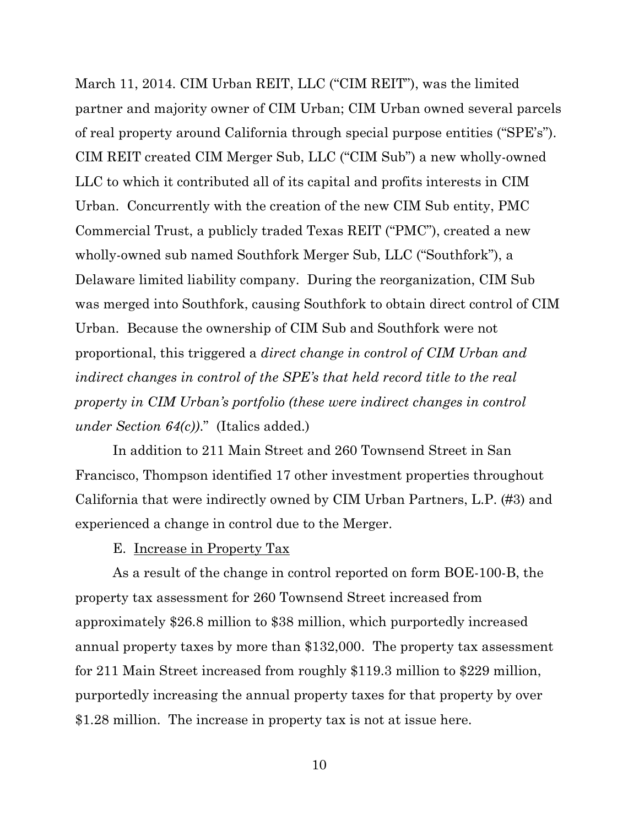March 11, 2014. CIM Urban REIT, LLC ("CIM REIT"), was the limited partner and majority owner of CIM Urban; CIM Urban owned several parcels of real property around California through special purpose entities ("SPE's"). CIM REIT created CIM Merger Sub, LLC ("CIM Sub") a new wholly-owned LLC to which it contributed all of its capital and profits interests in CIM Urban. Concurrently with the creation of the new CIM Sub entity, PMC Commercial Trust, a publicly traded Texas REIT ("PMC"), created a new wholly-owned sub named Southfork Merger Sub, LLC ("Southfork"), a Delaware limited liability company. During the reorganization, CIM Sub was merged into Southfork, causing Southfork to obtain direct control of CIM Urban. Because the ownership of CIM Sub and Southfork were not proportional, this triggered a *direct change in control of CIM Urban and indirect changes in control of the SPE's that held record title to the real property in CIM Urban's portfolio (these were indirect changes in control under Section 64(c))*." (Italics added.)

In addition to 211 Main Street and 260 Townsend Street in San Francisco, Thompson identified 17 other investment properties throughout California that were indirectly owned by CIM Urban Partners, L.P. (#3) and experienced a change in control due to the Merger.

#### E. Increase in Property Tax

As a result of the change in control reported on form BOE-100-B, the property tax assessment for 260 Townsend Street increased from approximately \$26.8 million to \$38 million, which purportedly increased annual property taxes by more than \$132,000. The property tax assessment for 211 Main Street increased from roughly \$119.3 million to \$229 million, purportedly increasing the annual property taxes for that property by over \$1.28 million. The increase in property tax is not at issue here.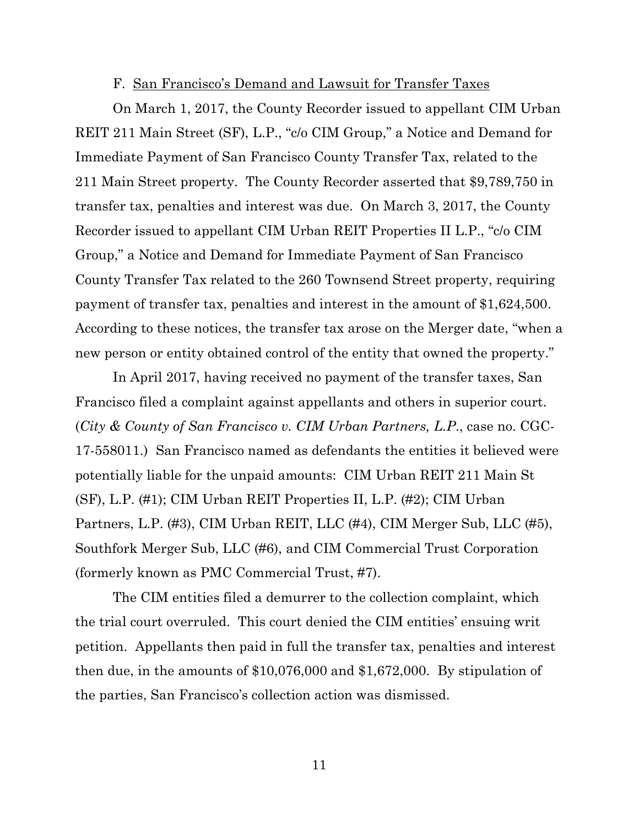#### F. San Francisco's Demand and Lawsuit for Transfer Taxes

On March 1, 2017, the County Recorder issued to appellant CIM Urban REIT 211 Main Street (SF), L.P., "c/o CIM Group," a Notice and Demand for Immediate Payment of San Francisco County Transfer Tax, related to the 211 Main Street property. The County Recorder asserted that \$9,789,750 in transfer tax, penalties and interest was due. On March 3, 2017, the County Recorder issued to appellant CIM Urban REIT Properties II L.P., "c/o CIM Group," a Notice and Demand for Immediate Payment of San Francisco County Transfer Tax related to the 260 Townsend Street property, requiring payment of transfer tax, penalties and interest in the amount of \$1,624,500. According to these notices, the transfer tax arose on the Merger date, "when a new person or entity obtained control of the entity that owned the property."

In April 2017, having received no payment of the transfer taxes, San Francisco filed a complaint against appellants and others in superior court. (*City & County of San Francisco v. CIM Urban Partners, L.P*., case no. CGC-17-558011.) San Francisco named as defendants the entities it believed were potentially liable for the unpaid amounts: CIM Urban REIT 211 Main St (SF), L.P. (#1); CIM Urban REIT Properties II, L.P. (#2); CIM Urban Partners, L.P. (#3), CIM Urban REIT, LLC (#4), CIM Merger Sub, LLC (#5), Southfork Merger Sub, LLC (#6), and CIM Commercial Trust Corporation (formerly known as PMC Commercial Trust, #7).

The CIM entities filed a demurrer to the collection complaint, which the trial court overruled. This court denied the CIM entities' ensuing writ petition. Appellants then paid in full the transfer tax, penalties and interest then due, in the amounts of \$10,076,000 and \$1,672,000. By stipulation of the parties, San Francisco's collection action was dismissed.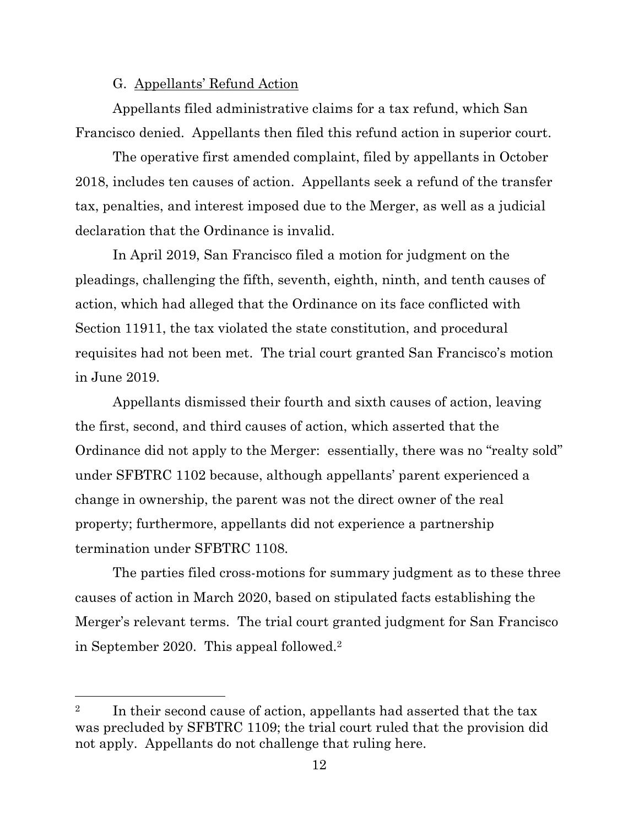## G. Appellants' Refund Action

Appellants filed administrative claims for a tax refund, which San Francisco denied. Appellants then filed this refund action in superior court.

The operative first amended complaint, filed by appellants in October 2018, includes ten causes of action. Appellants seek a refund of the transfer tax, penalties, and interest imposed due to the Merger, as well as a judicial declaration that the Ordinance is invalid.

In April 2019, San Francisco filed a motion for judgment on the pleadings, challenging the fifth, seventh, eighth, ninth, and tenth causes of action, which had alleged that the Ordinance on its face conflicted with Section 11911, the tax violated the state constitution, and procedural requisites had not been met. The trial court granted San Francisco's motion in June 2019.

Appellants dismissed their fourth and sixth causes of action, leaving the first, second, and third causes of action, which asserted that the Ordinance did not apply to the Merger: essentially, there was no "realty sold" under SFBTRC 1102 because, although appellants' parent experienced a change in ownership, the parent was not the direct owner of the real property; furthermore, appellants did not experience a partnership termination under SFBTRC 1108.

The parties filed cross-motions for summary judgment as to these three causes of action in March 2020, based on stipulated facts establishing the Merger's relevant terms. The trial court granted judgment for San Francisco in September 2020. This appeal followed.<sup>2</sup>

<sup>&</sup>lt;sup>2</sup> In their second cause of action, appellants had asserted that the tax was precluded by SFBTRC 1109; the trial court ruled that the provision did not apply. Appellants do not challenge that ruling here.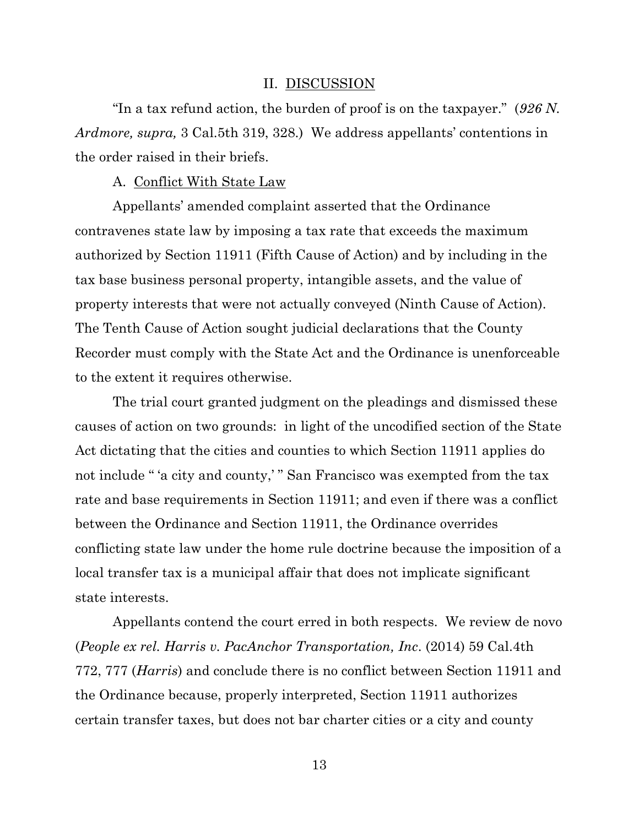#### II. DISCUSSION

"In a tax refund action, the burden of proof is on the taxpayer." (*926 N. Ardmore, supra,* 3 Cal.5th 319, 328.) We address appellants' contentions in the order raised in their briefs.

A. Conflict With State Law

Appellants' amended complaint asserted that the Ordinance contravenes state law by imposing a tax rate that exceeds the maximum authorized by Section 11911 (Fifth Cause of Action) and by including in the tax base business personal property, intangible assets, and the value of property interests that were not actually conveyed (Ninth Cause of Action). The Tenth Cause of Action sought judicial declarations that the County Recorder must comply with the State Act and the Ordinance is unenforceable to the extent it requires otherwise.

The trial court granted judgment on the pleadings and dismissed these causes of action on two grounds: in light of the uncodified section of the State Act dictating that the cities and counties to which Section 11911 applies do not include " 'a city and county,' " San Francisco was exempted from the tax rate and base requirements in Section 11911; and even if there was a conflict between the Ordinance and Section 11911, the Ordinance overrides conflicting state law under the home rule doctrine because the imposition of a local transfer tax is a municipal affair that does not implicate significant state interests.

Appellants contend the court erred in both respects. We review de novo (*People ex rel. Harris v. PacAnchor Transportation, Inc*. (2014) 59 Cal.4th 772, 777 (*Harris*) and conclude there is no conflict between Section 11911 and the Ordinance because, properly interpreted, Section 11911 authorizes certain transfer taxes, but does not bar charter cities or a city and county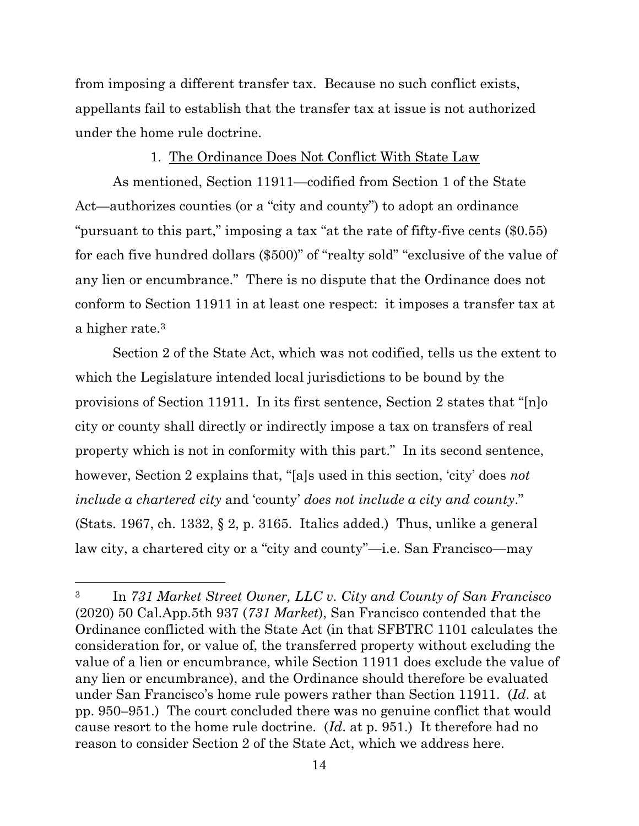from imposing a different transfer tax. Because no such conflict exists, appellants fail to establish that the transfer tax at issue is not authorized under the home rule doctrine.

### 1. The Ordinance Does Not Conflict With State Law

As mentioned, Section 11911—codified from Section 1 of the State Act—authorizes counties (or a "city and county") to adopt an ordinance "pursuant to this part," imposing a tax "at the rate of fifty-five cents (\$0.55) for each five hundred dollars (\$500)" of "realty sold" "exclusive of the value of any lien or encumbrance." There is no dispute that the Ordinance does not conform to Section 11911 in at least one respect: it imposes a transfer tax at a higher rate. 3

Section 2 of the State Act, which was not codified, tells us the extent to which the Legislature intended local jurisdictions to be bound by the provisions of Section 11911. In its first sentence, Section 2 states that "[n]o city or county shall directly or indirectly impose a tax on transfers of real property which is not in conformity with this part." In its second sentence, however, Section 2 explains that, "[a]s used in this section, 'city' does *not include a chartered city* and 'county' *does not include a city and county*." (Stats. 1967, ch. 1332, § 2, p. 3165. Italics added.) Thus, unlike a general law city, a chartered city or a "city and county"—i.e. San Francisco—may

<sup>3</sup> In *731 Market Street Owner, LLC v. City and County of San Francisco* (2020) 50 Cal.App.5th 937 (*731 Market*), San Francisco contended that the Ordinance conflicted with the State Act (in that SFBTRC 1101 calculates the consideration for, or value of, the transferred property without excluding the value of a lien or encumbrance, while Section 11911 does exclude the value of any lien or encumbrance), and the Ordinance should therefore be evaluated under San Francisco's home rule powers rather than Section 11911. (*Id*. at pp. 950–951.) The court concluded there was no genuine conflict that would cause resort to the home rule doctrine. (*Id*. at p. 951.) It therefore had no reason to consider Section 2 of the State Act, which we address here.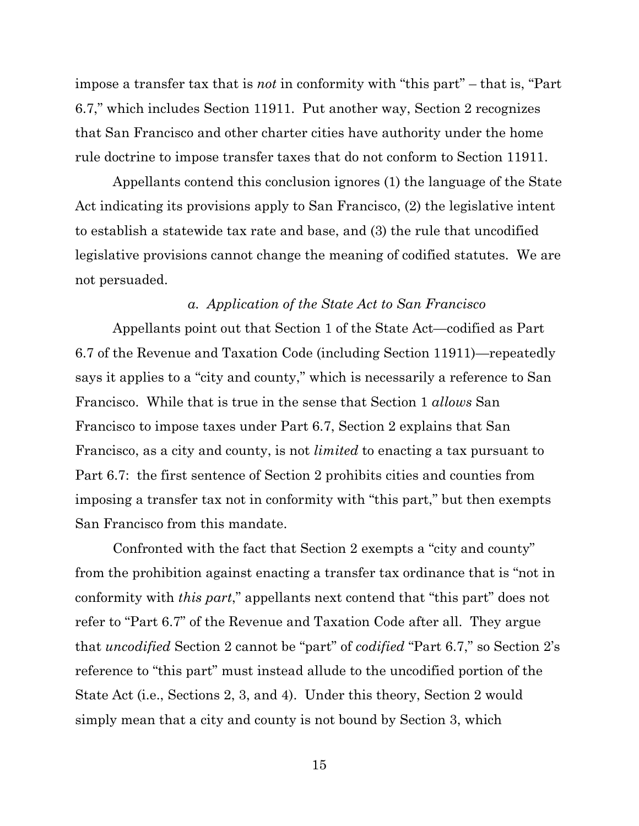impose a transfer tax that is *not* in conformity with "this part" – that is, "Part 6.7," which includes Section 11911. Put another way, Section 2 recognizes that San Francisco and other charter cities have authority under the home rule doctrine to impose transfer taxes that do not conform to Section 11911.

Appellants contend this conclusion ignores (1) the language of the State Act indicating its provisions apply to San Francisco, (2) the legislative intent to establish a statewide tax rate and base, and (3) the rule that uncodified legislative provisions cannot change the meaning of codified statutes. We are not persuaded.

## *a. Application of the State Act to San Francisco*

Appellants point out that Section 1 of the State Act—codified as Part 6.7 of the Revenue and Taxation Code (including Section 11911)—repeatedly says it applies to a "city and county," which is necessarily a reference to San Francisco. While that is true in the sense that Section 1 *allows* San Francisco to impose taxes under Part 6.7, Section 2 explains that San Francisco, as a city and county, is not *limited* to enacting a tax pursuant to Part 6.7: the first sentence of Section 2 prohibits cities and counties from imposing a transfer tax not in conformity with "this part," but then exempts San Francisco from this mandate.

Confronted with the fact that Section 2 exempts a "city and county" from the prohibition against enacting a transfer tax ordinance that is "not in conformity with *this part*," appellants next contend that "this part" does not refer to "Part 6.7" of the Revenue and Taxation Code after all. They argue that *uncodified* Section 2 cannot be "part" of *codified* "Part 6.7," so Section 2's reference to "this part" must instead allude to the uncodified portion of the State Act (i.e., Sections 2, 3, and 4). Under this theory, Section 2 would simply mean that a city and county is not bound by Section 3, which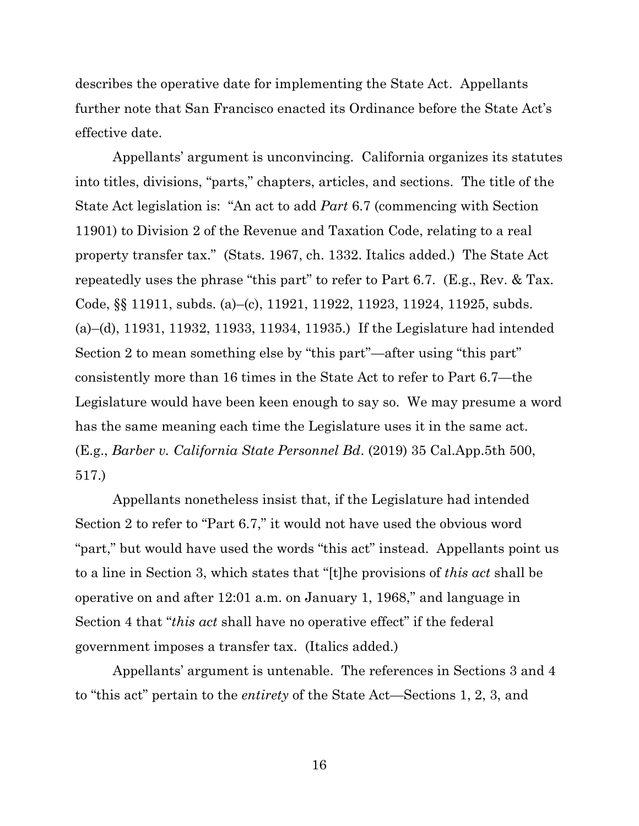describes the operative date for implementing the State Act. Appellants further note that San Francisco enacted its Ordinance before the State Act's effective date.

Appellants' argument is unconvincing. California organizes its statutes into titles, divisions, "parts," chapters, articles, and sections. The title of the State Act legislation is: "An act to add *Part* 6.7 (commencing with Section 11901) to Division 2 of the Revenue and Taxation Code, relating to a real property transfer tax." (Stats. 1967, ch. 1332. Italics added.) The State Act repeatedly uses the phrase "this part" to refer to Part 6.7. (E.g., Rev. & Tax. Code, §§ 11911, subds. (a)–(c), 11921, 11922, 11923, 11924, 11925, subds. (a)–(d), 11931, 11932, 11933, 11934, 11935.) If the Legislature had intended Section 2 to mean something else by "this part"—after using "this part" consistently more than 16 times in the State Act to refer to Part 6.7—the Legislature would have been keen enough to say so. We may presume a word has the same meaning each time the Legislature uses it in the same act. (E.g., *Barber v. California State Personnel Bd*. (2019) 35 Cal.App.5th 500, 517.)

Appellants nonetheless insist that, if the Legislature had intended Section 2 to refer to "Part 6.7," it would not have used the obvious word "part," but would have used the words "this act" instead. Appellants point us to a line in Section 3, which states that "[t]he provisions of *this act* shall be operative on and after 12:01 a.m. on January 1, 1968," and language in Section 4 that "*this act* shall have no operative effect" if the federal government imposes a transfer tax. (Italics added.)

Appellants' argument is untenable. The references in Sections 3 and 4 to "this act" pertain to the *entirety* of the State Act—Sections 1, 2, 3, and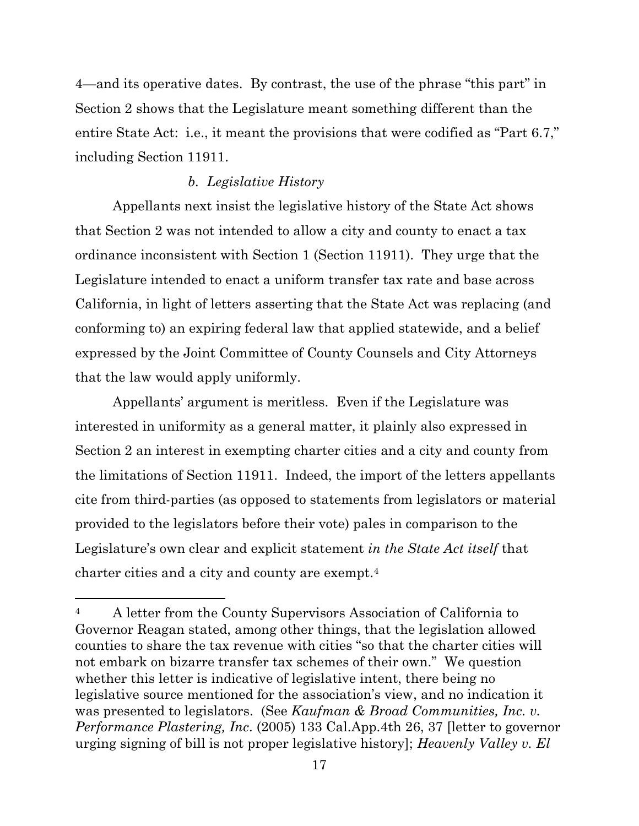4—and its operative dates. By contrast, the use of the phrase "this part" in Section 2 shows that the Legislature meant something different than the entire State Act: i.e., it meant the provisions that were codified as "Part 6.7," including Section 11911.

## *b. Legislative History*

Appellants next insist the legislative history of the State Act shows that Section 2 was not intended to allow a city and county to enact a tax ordinance inconsistent with Section 1 (Section 11911). They urge that the Legislature intended to enact a uniform transfer tax rate and base across California, in light of letters asserting that the State Act was replacing (and conforming to) an expiring federal law that applied statewide, and a belief expressed by the Joint Committee of County Counsels and City Attorneys that the law would apply uniformly.

Appellants' argument is meritless. Even if the Legislature was interested in uniformity as a general matter, it plainly also expressed in Section 2 an interest in exempting charter cities and a city and county from the limitations of Section 11911. Indeed, the import of the letters appellants cite from third-parties (as opposed to statements from legislators or material provided to the legislators before their vote) pales in comparison to the Legislature's own clear and explicit statement *in the State Act itself* that charter cities and a city and county are exempt.<sup>4</sup>

<sup>4</sup> A letter from the County Supervisors Association of California to Governor Reagan stated, among other things, that the legislation allowed counties to share the tax revenue with cities "so that the charter cities will not embark on bizarre transfer tax schemes of their own." We question whether this letter is indicative of legislative intent, there being no legislative source mentioned for the association's view, and no indication it was presented to legislators. (See *Kaufman & Broad Communities, Inc. v. Performance Plastering, Inc*. (2005) 133 Cal.App.4th 26, 37 [letter to governor urging signing of bill is not proper legislative history]; *Heavenly Valley v. El*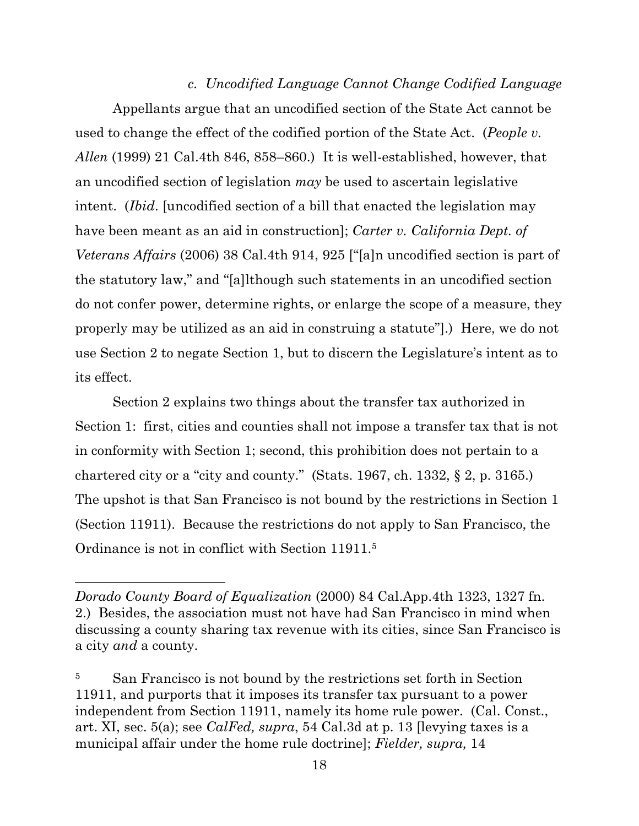*c. Uncodified Language Cannot Change Codified Language* Appellants argue that an uncodified section of the State Act cannot be used to change the effect of the codified portion of the State Act. (*People v. Allen* (1999) 21 Cal.4th 846, 858–860.) It is well-established, however, that an uncodified section of legislation *may* be used to ascertain legislative intent. (*Ibid*. [uncodified section of a bill that enacted the legislation may have been meant as an aid in construction]; *Carter v. California Dept. of Veterans Affairs* (2006) 38 Cal.4th 914, 925 ["[a]n uncodified section is part of the statutory law," and "[a]lthough such statements in an uncodified section do not confer power, determine rights, or enlarge the scope of a measure, they properly may be utilized as an aid in construing a statute"].) Here, we do not use Section 2 to negate Section 1, but to discern the Legislature's intent as to its effect.

Section 2 explains two things about the transfer tax authorized in Section 1: first, cities and counties shall not impose a transfer tax that is not in conformity with Section 1; second, this prohibition does not pertain to a chartered city or a "city and county." (Stats. 1967, ch. 1332, § 2, p. 3165.) The upshot is that San Francisco is not bound by the restrictions in Section 1 (Section 11911). Because the restrictions do not apply to San Francisco, the Ordinance is not in conflict with Section 11911.<sup>5</sup>

*Dorado County Board of Equalization* (2000) 84 Cal.App.4th 1323, 1327 fn. 2.) Besides, the association must not have had San Francisco in mind when discussing a county sharing tax revenue with its cities, since San Francisco is a city *and* a county.

<sup>5</sup> San Francisco is not bound by the restrictions set forth in Section 11911, and purports that it imposes its transfer tax pursuant to a power independent from Section 11911, namely its home rule power. (Cal. Const., art. XI, sec. 5(a); see *CalFed, supra*, 54 Cal.3d at p. 13 [levying taxes is a municipal affair under the home rule doctrine]; *Fielder, supra,* 14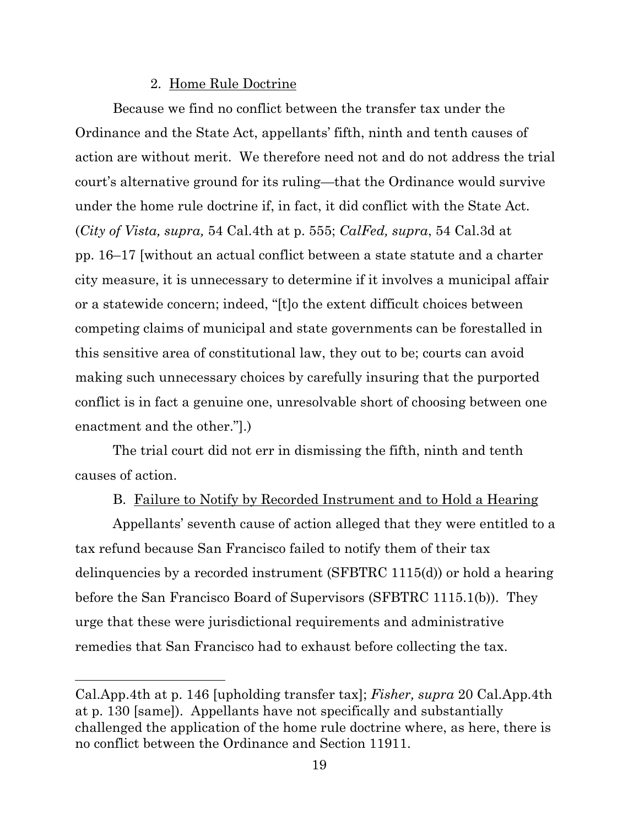### 2. Home Rule Doctrine

Because we find no conflict between the transfer tax under the Ordinance and the State Act, appellants' fifth, ninth and tenth causes of action are without merit. We therefore need not and do not address the trial court's alternative ground for its ruling—that the Ordinance would survive under the home rule doctrine if, in fact, it did conflict with the State Act. (*City of Vista, supra,* 54 Cal.4th at p. 555; *CalFed, supra*, 54 Cal.3d at pp. 16–17 [without an actual conflict between a state statute and a charter city measure, it is unnecessary to determine if it involves a municipal affair or a statewide concern; indeed, "[t]o the extent difficult choices between competing claims of municipal and state governments can be forestalled in this sensitive area of constitutional law, they out to be; courts can avoid making such unnecessary choices by carefully insuring that the purported conflict is in fact a genuine one, unresolvable short of choosing between one enactment and the other."].)

The trial court did not err in dismissing the fifth, ninth and tenth causes of action.

## B. Failure to Notify by Recorded Instrument and to Hold a Hearing

Appellants' seventh cause of action alleged that they were entitled to a tax refund because San Francisco failed to notify them of their tax delinquencies by a recorded instrument (SFBTRC 1115(d)) or hold a hearing before the San Francisco Board of Supervisors (SFBTRC 1115.1(b)). They urge that these were jurisdictional requirements and administrative remedies that San Francisco had to exhaust before collecting the tax.

Cal.App.4th at p. 146 [upholding transfer tax]; *Fisher, supra* 20 Cal.App.4th at p. 130 [same]). Appellants have not specifically and substantially challenged the application of the home rule doctrine where, as here, there is no conflict between the Ordinance and Section 11911.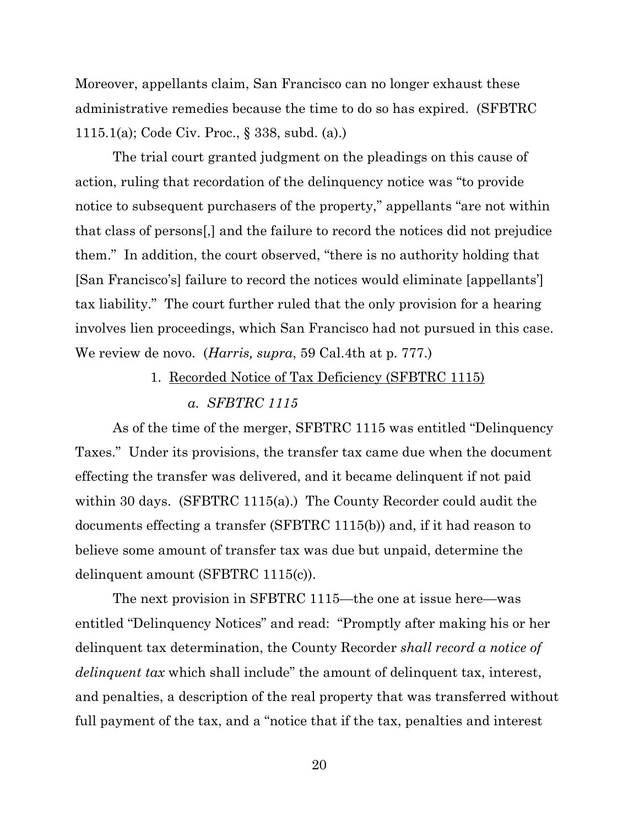Moreover, appellants claim, San Francisco can no longer exhaust these administrative remedies because the time to do so has expired. (SFBTRC 1115.1(a); Code Civ. Proc., § 338, subd. (a).)

The trial court granted judgment on the pleadings on this cause of action, ruling that recordation of the delinquency notice was "to provide notice to subsequent purchasers of the property," appellants "are not within that class of persons[,] and the failure to record the notices did not prejudice them." In addition, the court observed, "there is no authority holding that [San Francisco's] failure to record the notices would eliminate [appellants'] tax liability." The court further ruled that the only provision for a hearing involves lien proceedings, which San Francisco had not pursued in this case. We review de novo. (*Harris, supra*, 59 Cal.4th at p. 777.)

## 1. Recorded Notice of Tax Deficiency (SFBTRC 1115) *a. SFBTRC 1115*

As of the time of the merger, SFBTRC 1115 was entitled "Delinquency Taxes." Under its provisions, the transfer tax came due when the document effecting the transfer was delivered, and it became delinquent if not paid within 30 days. (SFBTRC 1115(a).) The County Recorder could audit the documents effecting a transfer (SFBTRC 1115(b)) and, if it had reason to believe some amount of transfer tax was due but unpaid, determine the delinquent amount (SFBTRC 1115(c)).

The next provision in SFBTRC 1115—the one at issue here—was entitled "Delinquency Notices" and read: "Promptly after making his or her delinquent tax determination, the County Recorder *shall record a notice of delinquent tax* which shall include" the amount of delinquent tax, interest, and penalties, a description of the real property that was transferred without full payment of the tax, and a "notice that if the tax, penalties and interest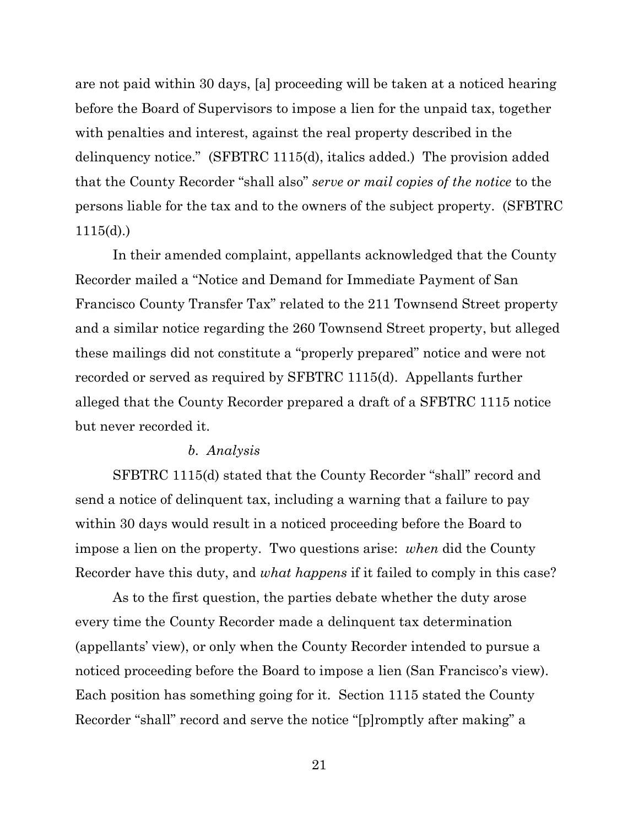are not paid within 30 days, [a] proceeding will be taken at a noticed hearing before the Board of Supervisors to impose a lien for the unpaid tax, together with penalties and interest, against the real property described in the delinquency notice." (SFBTRC 1115(d), italics added.) The provision added that the County Recorder "shall also" *serve or mail copies of the notice* to the persons liable for the tax and to the owners of the subject property. (SFBTRC 1115(d).)

In their amended complaint, appellants acknowledged that the County Recorder mailed a "Notice and Demand for Immediate Payment of San Francisco County Transfer Tax" related to the 211 Townsend Street property and a similar notice regarding the 260 Townsend Street property, but alleged these mailings did not constitute a "properly prepared" notice and were not recorded or served as required by SFBTRC 1115(d). Appellants further alleged that the County Recorder prepared a draft of a SFBTRC 1115 notice but never recorded it.

#### *b. Analysis*

SFBTRC 1115(d) stated that the County Recorder "shall" record and send a notice of delinquent tax, including a warning that a failure to pay within 30 days would result in a noticed proceeding before the Board to impose a lien on the property. Two questions arise: *when* did the County Recorder have this duty, and *what happens* if it failed to comply in this case?

As to the first question, the parties debate whether the duty arose every time the County Recorder made a delinquent tax determination (appellants' view), or only when the County Recorder intended to pursue a noticed proceeding before the Board to impose a lien (San Francisco's view). Each position has something going for it. Section 1115 stated the County Recorder "shall" record and serve the notice "[p]romptly after making" a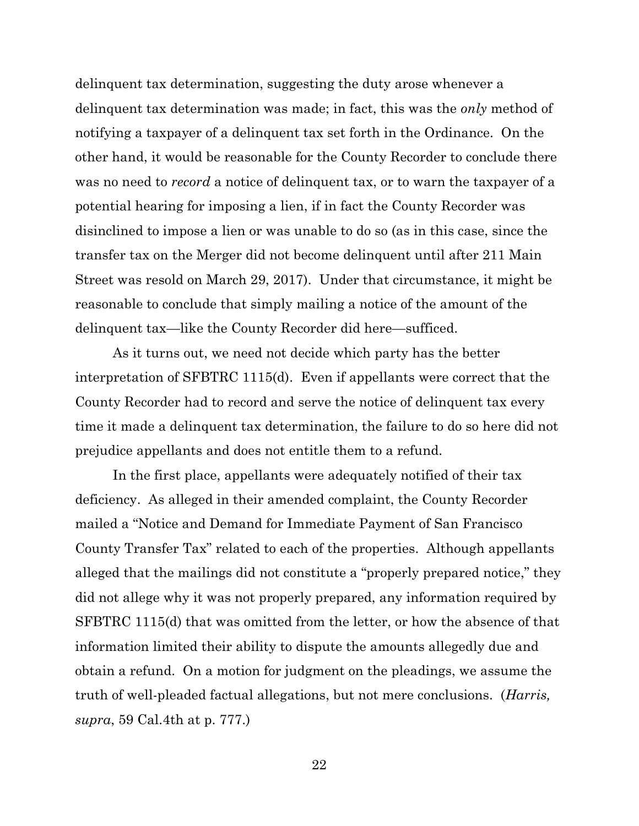delinquent tax determination, suggesting the duty arose whenever a delinquent tax determination was made; in fact, this was the *only* method of notifying a taxpayer of a delinquent tax set forth in the Ordinance. On the other hand, it would be reasonable for the County Recorder to conclude there was no need to *record* a notice of delinquent tax, or to warn the taxpayer of a potential hearing for imposing a lien, if in fact the County Recorder was disinclined to impose a lien or was unable to do so (as in this case, since the transfer tax on the Merger did not become delinquent until after 211 Main Street was resold on March 29, 2017). Under that circumstance, it might be reasonable to conclude that simply mailing a notice of the amount of the delinquent tax—like the County Recorder did here—sufficed.

As it turns out, we need not decide which party has the better interpretation of SFBTRC 1115(d). Even if appellants were correct that the County Recorder had to record and serve the notice of delinquent tax every time it made a delinquent tax determination, the failure to do so here did not prejudice appellants and does not entitle them to a refund.

In the first place, appellants were adequately notified of their tax deficiency. As alleged in their amended complaint, the County Recorder mailed a "Notice and Demand for Immediate Payment of San Francisco County Transfer Tax" related to each of the properties. Although appellants alleged that the mailings did not constitute a "properly prepared notice," they did not allege why it was not properly prepared, any information required by SFBTRC 1115(d) that was omitted from the letter, or how the absence of that information limited their ability to dispute the amounts allegedly due and obtain a refund. On a motion for judgment on the pleadings, we assume the truth of well-pleaded factual allegations, but not mere conclusions. (*Harris, supra*, 59 Cal.4th at p. 777.)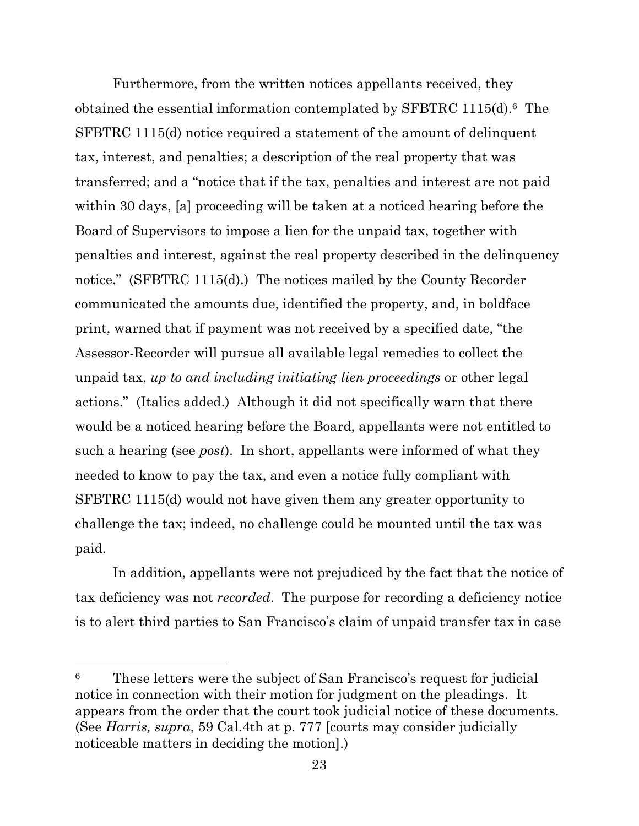Furthermore, from the written notices appellants received, they obtained the essential information contemplated by SFBTRC 1115(d).6 The SFBTRC 1115(d) notice required a statement of the amount of delinquent tax, interest, and penalties; a description of the real property that was transferred; and a "notice that if the tax, penalties and interest are not paid within 30 days, [a] proceeding will be taken at a noticed hearing before the Board of Supervisors to impose a lien for the unpaid tax, together with penalties and interest, against the real property described in the delinquency notice." (SFBTRC 1115(d).) The notices mailed by the County Recorder communicated the amounts due, identified the property, and, in boldface print, warned that if payment was not received by a specified date, "the Assessor-Recorder will pursue all available legal remedies to collect the unpaid tax, *up to and including initiating lien proceedings* or other legal actions." (Italics added.) Although it did not specifically warn that there would be a noticed hearing before the Board, appellants were not entitled to such a hearing (see *post*). In short, appellants were informed of what they needed to know to pay the tax, and even a notice fully compliant with SFBTRC 1115(d) would not have given them any greater opportunity to challenge the tax; indeed, no challenge could be mounted until the tax was paid.

In addition, appellants were not prejudiced by the fact that the notice of tax deficiency was not *recorded*. The purpose for recording a deficiency notice is to alert third parties to San Francisco's claim of unpaid transfer tax in case

<sup>6</sup> These letters were the subject of San Francisco's request for judicial notice in connection with their motion for judgment on the pleadings. It appears from the order that the court took judicial notice of these documents. (See *Harris, supra*, 59 Cal.4th at p. 777 [courts may consider judicially noticeable matters in deciding the motion].)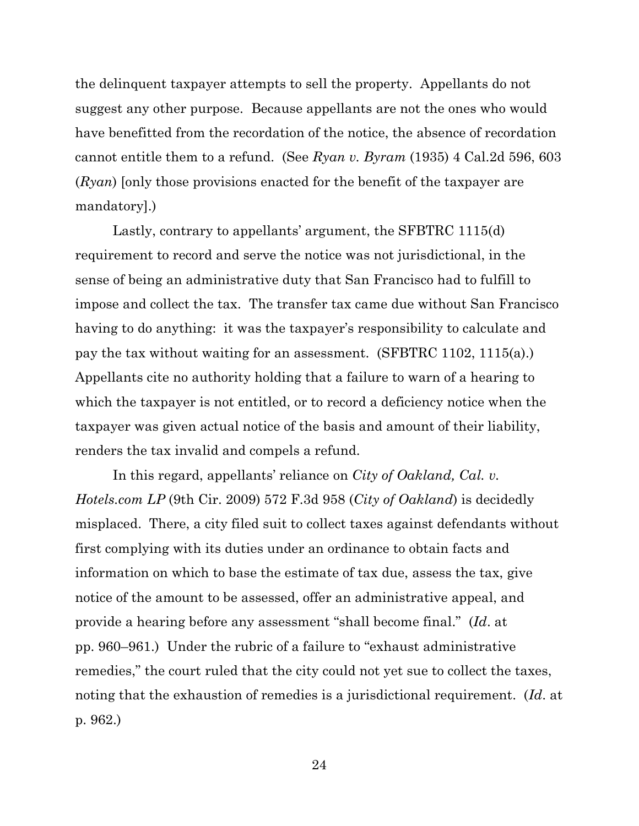the delinquent taxpayer attempts to sell the property. Appellants do not suggest any other purpose. Because appellants are not the ones who would have benefitted from the recordation of the notice, the absence of recordation cannot entitle them to a refund. (See *Ryan v. Byram* (1935) 4 Cal.2d 596, 603 (*Ryan*) [only those provisions enacted for the benefit of the taxpayer are mandatory].)

 Lastly, contrary to appellants' argument, the SFBTRC 1115(d) requirement to record and serve the notice was not jurisdictional, in the sense of being an administrative duty that San Francisco had to fulfill to impose and collect the tax. The transfer tax came due without San Francisco having to do anything: it was the taxpayer's responsibility to calculate and pay the tax without waiting for an assessment. (SFBTRC 1102, 1115(a).) Appellants cite no authority holding that a failure to warn of a hearing to which the taxpayer is not entitled, or to record a deficiency notice when the taxpayer was given actual notice of the basis and amount of their liability, renders the tax invalid and compels a refund.

In this regard, appellants' reliance on *City of Oakland, Cal. v. Hotels.com LP* (9th Cir. 2009) 572 F.3d 958 (*City of Oakland*) is decidedly misplaced. There, a city filed suit to collect taxes against defendants without first complying with its duties under an ordinance to obtain facts and information on which to base the estimate of tax due, assess the tax, give notice of the amount to be assessed, offer an administrative appeal, and provide a hearing before any assessment "shall become final." (*Id*. at pp. 960–961.) Under the rubric of a failure to "exhaust administrative remedies," the court ruled that the city could not yet sue to collect the taxes, noting that the exhaustion of remedies is a jurisdictional requirement. (*Id*. at p. 962.)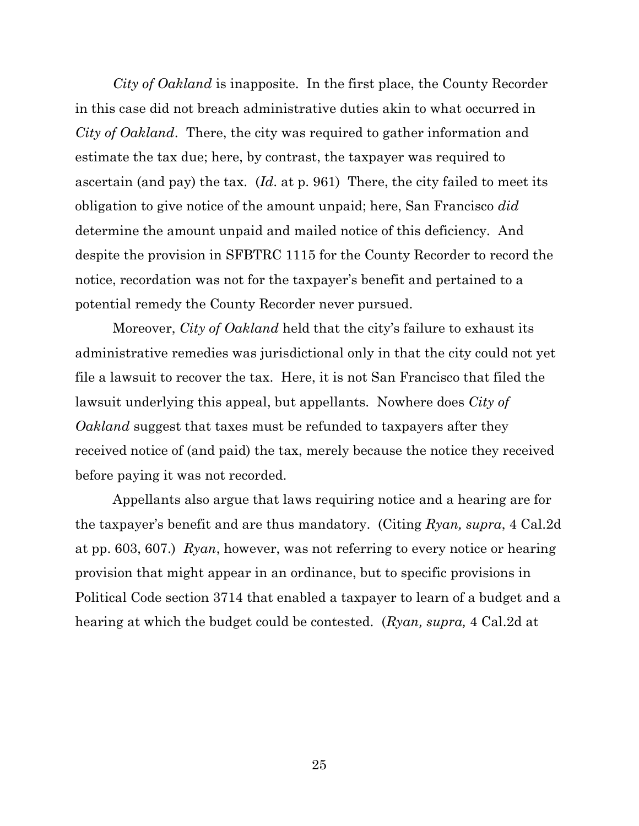*City of Oakland* is inapposite. In the first place, the County Recorder in this case did not breach administrative duties akin to what occurred in *City of Oakland*.There, the city was required to gather information and estimate the tax due; here, by contrast, the taxpayer was required to ascertain (and pay) the tax. (*Id*. at p. 961) There, the city failed to meet its obligation to give notice of the amount unpaid; here, San Francisco *did* determine the amount unpaid and mailed notice of this deficiency. And despite the provision in SFBTRC 1115 for the County Recorder to record the notice, recordation was not for the taxpayer's benefit and pertained to a potential remedy the County Recorder never pursued.

Moreover, *City of Oakland* held that the city's failure to exhaust its administrative remedies was jurisdictional only in that the city could not yet file a lawsuit to recover the tax. Here, it is not San Francisco that filed the lawsuit underlying this appeal, but appellants. Nowhere does *City of Oakland* suggest that taxes must be refunded to taxpayers after they received notice of (and paid) the tax, merely because the notice they received before paying it was not recorded.

Appellants also argue that laws requiring notice and a hearing are for the taxpayer's benefit and are thus mandatory. (Citing *Ryan, supra*, 4 Cal.2d at pp. 603, 607.) *Ryan*, however, was not referring to every notice or hearing provision that might appear in an ordinance, but to specific provisions in Political Code section 3714 that enabled a taxpayer to learn of a budget and a hearing at which the budget could be contested. (*Ryan, supra,* 4 Cal.2d at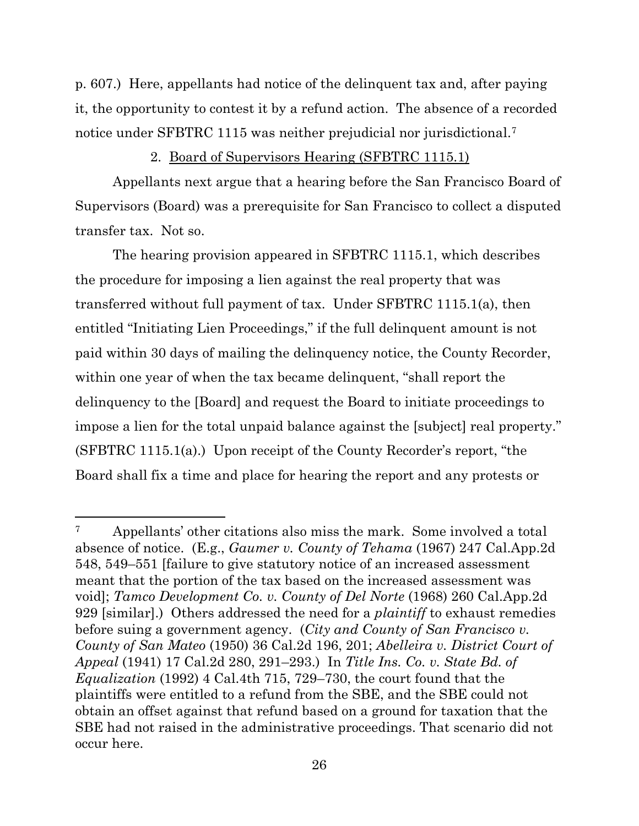p. 607.) Here, appellants had notice of the delinquent tax and, after paying it, the opportunity to contest it by a refund action. The absence of a recorded notice under SFBTRC 1115 was neither prejudicial nor jurisdictional.<sup>7</sup>

2. Board of Supervisors Hearing (SFBTRC 1115.1)

Appellants next argue that a hearing before the San Francisco Board of Supervisors (Board) was a prerequisite for San Francisco to collect a disputed transfer tax. Not so.

The hearing provision appeared in SFBTRC 1115.1, which describes the procedure for imposing a lien against the real property that was transferred without full payment of tax. Under SFBTRC 1115.1(a), then entitled "Initiating Lien Proceedings," if the full delinquent amount is not paid within 30 days of mailing the delinquency notice, the County Recorder, within one year of when the tax became delinquent, "shall report the delinquency to the [Board] and request the Board to initiate proceedings to impose a lien for the total unpaid balance against the [subject] real property." (SFBTRC 1115.1(a).) Upon receipt of the County Recorder's report, "the Board shall fix a time and place for hearing the report and any protests or

<sup>&</sup>lt;sup>7</sup> Appellants' other citations also miss the mark. Some involved a total absence of notice. (E.g., *Gaumer v. County of Tehama* (1967) 247 Cal.App.2d 548, 549–551 [failure to give statutory notice of an increased assessment meant that the portion of the tax based on the increased assessment was void]; *Tamco Development Co. v. County of Del Norte* (1968) 260 Cal.App.2d 929 [similar].) Others addressed the need for a *plaintiff* to exhaust remedies before suing a government agency. (*City and County of San Francisco v. County of San Mateo* (1950) 36 Cal.2d 196, 201; *Abelleira v. District Court of Appeal* (1941) 17 Cal.2d 280, 291–293.) In *Title Ins. Co. v. State Bd. of Equalization* (1992) 4 Cal.4th 715, 729–730, the court found that the plaintiffs were entitled to a refund from the SBE, and the SBE could not obtain an offset against that refund based on a ground for taxation that the SBE had not raised in the administrative proceedings. That scenario did not occur here.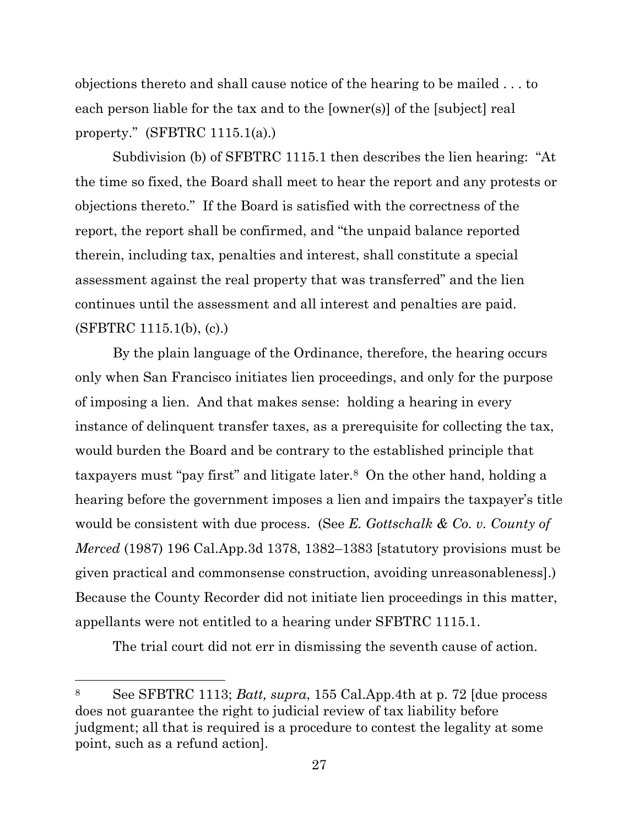objections thereto and shall cause notice of the hearing to be mailed . . . to each person liable for the tax and to the [owner(s)] of the [subject] real property." (SFBTRC 1115.1(a).)

Subdivision (b) of SFBTRC 1115.1 then describes the lien hearing: "At the time so fixed, the Board shall meet to hear the report and any protests or objections thereto." If the Board is satisfied with the correctness of the report, the report shall be confirmed, and "the unpaid balance reported therein, including tax, penalties and interest, shall constitute a special assessment against the real property that was transferred" and the lien continues until the assessment and all interest and penalties are paid. (SFBTRC 1115.1(b), (c).)

By the plain language of the Ordinance, therefore, the hearing occurs only when San Francisco initiates lien proceedings, and only for the purpose of imposing a lien. And that makes sense: holding a hearing in every instance of delinquent transfer taxes, as a prerequisite for collecting the tax, would burden the Board and be contrary to the established principle that taxpayers must "pay first" and litigate later. <sup>8</sup> On the other hand, holding a hearing before the government imposes a lien and impairs the taxpayer's title would be consistent with due process. (See *E. Gottschalk & Co. v. County of Merced* (1987) 196 Cal.App.3d 1378, 1382–1383 [statutory provisions must be given practical and commonsense construction, avoiding unreasonableness].) Because the County Recorder did not initiate lien proceedings in this matter, appellants were not entitled to a hearing under SFBTRC 1115.1.

The trial court did not err in dismissing the seventh cause of action.

<sup>8</sup> See SFBTRC 1113; *Batt, supra*, 155 Cal.App.4th at p. 72 [due process does not guarantee the right to judicial review of tax liability before judgment; all that is required is a procedure to contest the legality at some point, such as a refund action].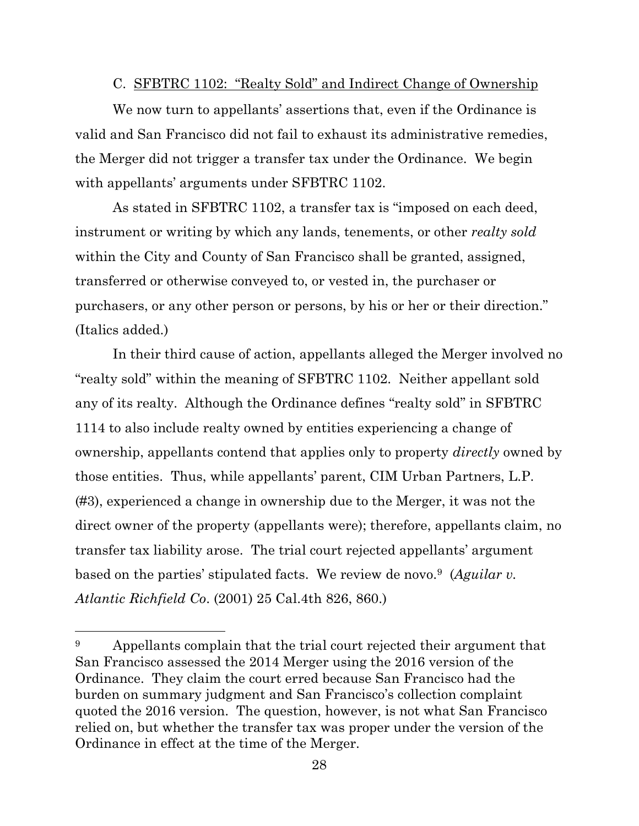#### C. SFBTRC 1102: "Realty Sold" and Indirect Change of Ownership

We now turn to appellants' assertions that, even if the Ordinance is valid and San Francisco did not fail to exhaust its administrative remedies, the Merger did not trigger a transfer tax under the Ordinance. We begin with appellants' arguments under SFBTRC 1102.

As stated in SFBTRC 1102, a transfer tax is "imposed on each deed, instrument or writing by which any lands, tenements, or other *realty sold* within the City and County of San Francisco shall be granted, assigned, transferred or otherwise conveyed to, or vested in, the purchaser or purchasers, or any other person or persons, by his or her or their direction." (Italics added.)

In their third cause of action, appellants alleged the Merger involved no "realty sold" within the meaning of SFBTRC 1102. Neither appellant sold any of its realty. Although the Ordinance defines "realty sold" in SFBTRC 1114 to also include realty owned by entities experiencing a change of ownership, appellants contend that applies only to property *directly* owned by those entities. Thus, while appellants' parent, CIM Urban Partners, L.P. (#3), experienced a change in ownership due to the Merger, it was not the direct owner of the property (appellants were); therefore, appellants claim, no transfer tax liability arose. The trial court rejected appellants' argument based on the parties' stipulated facts. We review de novo.9 (*Aguilar v. Atlantic Richfield Co*. (2001) 25 Cal.4th 826, 860.)

<sup>&</sup>lt;sup>9</sup> Appellants complain that the trial court rejected their argument that San Francisco assessed the 2014 Merger using the 2016 version of the Ordinance. They claim the court erred because San Francisco had the burden on summary judgment and San Francisco's collection complaint quoted the 2016 version. The question, however, is not what San Francisco relied on, but whether the transfer tax was proper under the version of the Ordinance in effect at the time of the Merger.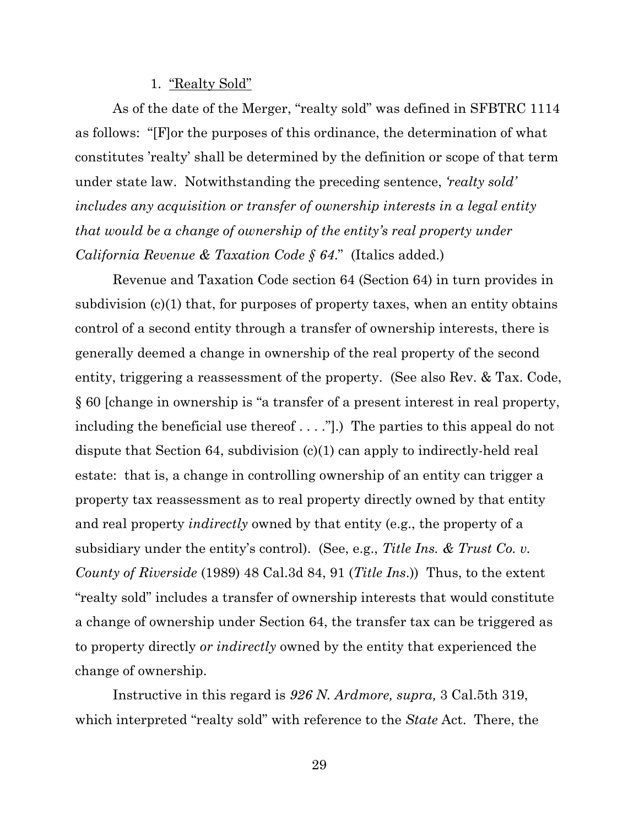#### 1. "Realty Sold"

As of the date of the Merger, "realty sold" was defined in SFBTRC 1114 as follows: "[F]or the purposes of this ordinance, the determination of what constitutes 'realty' shall be determined by the definition or scope of that term under state law. Notwithstanding the preceding sentence, *'realty sold' includes any acquisition or transfer of ownership interests in a legal entity that would be a change of ownership of the entity's real property under California Revenue & Taxation Code § 64*." (Italics added.)

Revenue and Taxation Code section 64 (Section 64) in turn provides in subdivision (c)(1) that, for purposes of property taxes, when an entity obtains control of a second entity through a transfer of ownership interests, there is generally deemed a change in ownership of the real property of the second entity, triggering a reassessment of the property. (See also Rev. & Tax. Code, § 60 [change in ownership is "a transfer of a present interest in real property, including the beneficial use thereof . . . ."].) The parties to this appeal do not dispute that Section 64, subdivision (c)(1) can apply to indirectly-held real estate: that is, a change in controlling ownership of an entity can trigger a property tax reassessment as to real property directly owned by that entity and real property *indirectly* owned by that entity (e.g., the property of a subsidiary under the entity's control). (See, e.g., *Title Ins. & Trust Co. v. County of Riverside* (1989) 48 Cal.3d 84, 91 (*Title Ins*.)) Thus, to the extent "realty sold" includes a transfer of ownership interests that would constitute a change of ownership under Section 64, the transfer tax can be triggered as to property directly *or indirectly* owned by the entity that experienced the change of ownership.

Instructive in this regard is *926 N. Ardmore, supra,* 3 Cal.5th 319, which interpreted "realty sold" with reference to the *State* Act. There, the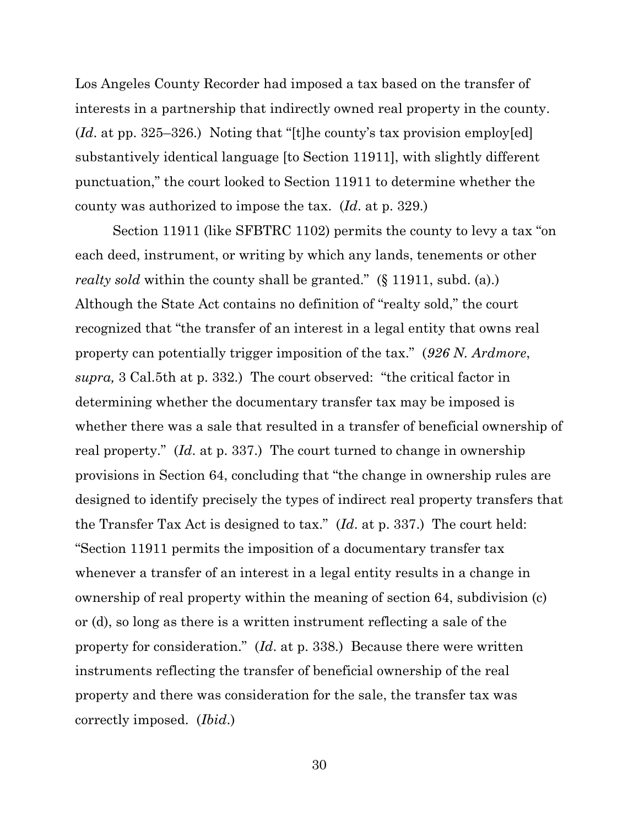Los Angeles County Recorder had imposed a tax based on the transfer of interests in a partnership that indirectly owned real property in the county. (*Id*. at pp. 325–326.) Noting that "[t]he county's tax provision employ[ed] substantively identical language [to Section 11911], with slightly different punctuation," the court looked to Section 11911 to determine whether the county was authorized to impose the tax. (*Id*. at p. 329.)

Section 11911 (like SFBTRC 1102) permits the county to levy a tax "on each deed, instrument, or writing by which any lands, tenements or other *realty sold* within the county shall be granted." (§ 11911, subd. (a).) Although the State Act contains no definition of "realty sold," the court recognized that "the transfer of an interest in a legal entity that owns real property can potentially trigger imposition of the tax." (*926 N. Ardmore*, *supra,* 3 Cal.5th at p. 332.) The court observed: "the critical factor in determining whether the documentary transfer tax may be imposed is whether there was a sale that resulted in a transfer of beneficial ownership of real property." (*Id*. at p. 337.) The court turned to change in ownership provisions in Section 64, concluding that "the change in ownership rules are designed to identify precisely the types of indirect real property transfers that the Transfer Tax Act is designed to tax." (*Id*. at p. 337.) The court held: "Section 11911 permits the imposition of a documentary transfer tax whenever a transfer of an interest in a legal entity results in a change in ownership of real property within the meaning of section 64, subdivision (c) or (d), so long as there is a written instrument reflecting a sale of the property for consideration." (*Id*. at p. 338.) Because there were written instruments reflecting the transfer of beneficial ownership of the real property and there was consideration for the sale, the transfer tax was correctly imposed. (*Ibid*.)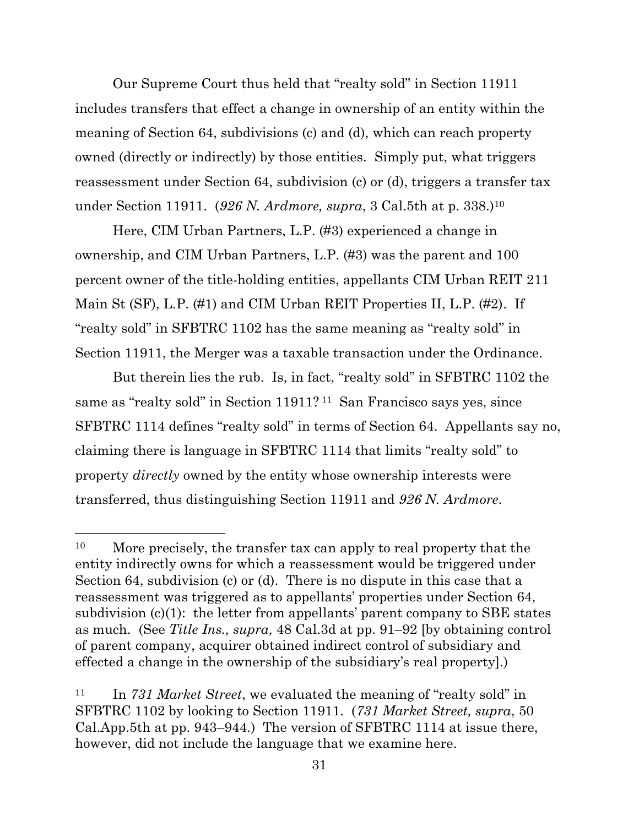Our Supreme Court thus held that "realty sold" in Section 11911 includes transfers that effect a change in ownership of an entity within the meaning of Section 64, subdivisions (c) and (d), which can reach property owned (directly or indirectly) by those entities. Simply put, what triggers reassessment under Section 64, subdivision (c) or (d), triggers a transfer tax under Section 11911. (*926 N. Ardmore, supra*, 3 Cal.5th at p. 338.)<sup>10</sup>

Here, CIM Urban Partners, L.P. (#3) experienced a change in ownership, and CIM Urban Partners, L.P. (#3) was the parent and 100 percent owner of the title-holding entities, appellants CIM Urban REIT 211 Main St (SF), L.P. (#1) and CIM Urban REIT Properties II, L.P. (#2). If "realty sold" in SFBTRC 1102 has the same meaning as "realty sold" in Section 11911, the Merger was a taxable transaction under the Ordinance.

But therein lies the rub. Is, in fact, "realty sold" in SFBTRC 1102 the same as "realty sold" in Section 11911? <sup>11</sup> San Francisco says yes, since SFBTRC 1114 defines "realty sold" in terms of Section 64. Appellants say no, claiming there is language in SFBTRC 1114 that limits "realty sold" to property *directly* owned by the entity whose ownership interests were transferred, thus distinguishing Section 11911 and *926 N. Ardmore*.

<sup>&</sup>lt;sup>10</sup> More precisely, the transfer tax can apply to real property that the entity indirectly owns for which a reassessment would be triggered under Section 64, subdivision (c) or (d). There is no dispute in this case that a reassessment was triggered as to appellants' properties under Section 64, subdivision  $(c)(1)$ : the letter from appellants' parent company to SBE states as much. (See *Title Ins., supra,* 48 Cal.3d at pp. 91–92 [by obtaining control of parent company, acquirer obtained indirect control of subsidiary and effected a change in the ownership of the subsidiary's real property].)

<sup>11</sup> In *731 Market Street*, we evaluated the meaning of "realty sold" in SFBTRC 1102 by looking to Section 11911. (*731 Market Street, supra*, 50 Cal.App.5th at pp. 943–944.) The version of SFBTRC 1114 at issue there, however, did not include the language that we examine here.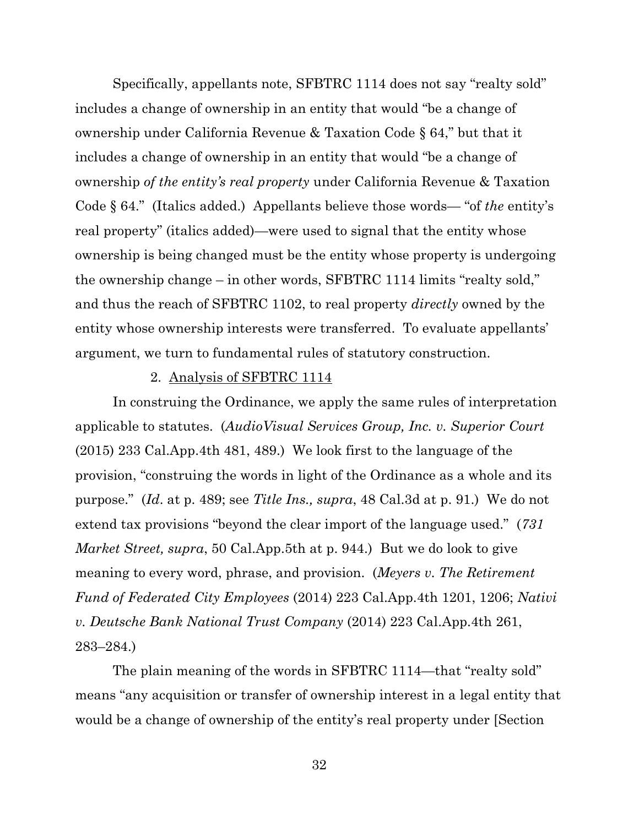Specifically, appellants note, SFBTRC 1114 does not say "realty sold" includes a change of ownership in an entity that would "be a change of ownership under California Revenue & Taxation Code § 64," but that it includes a change of ownership in an entity that would "be a change of ownership *of the entity's real property* under California Revenue & Taxation Code § 64." (Italics added.) Appellants believe those words— "of *the* entity's real property" (italics added)—were used to signal that the entity whose ownership is being changed must be the entity whose property is undergoing the ownership change – in other words, SFBTRC 1114 limits "realty sold," and thus the reach of SFBTRC 1102, to real property *directly* owned by the entity whose ownership interests were transferred. To evaluate appellants' argument, we turn to fundamental rules of statutory construction.

#### 2. Analysis of SFBTRC 1114

In construing the Ordinance, we apply the same rules of interpretation applicable to statutes. (*AudioVisual Services Group, Inc. v. Superior Court* (2015) 233 Cal.App.4th 481, 489.) We look first to the language of the provision, "construing the words in light of the Ordinance as a whole and its purpose." (*Id*. at p. 489; see *Title Ins., supra*, 48 Cal.3d at p. 91.) We do not extend tax provisions "beyond the clear import of the language used." (*731 Market Street, supra*, 50 Cal.App.5th at p. 944.) But we do look to give meaning to every word, phrase, and provision. (*Meyers v. The Retirement Fund of Federated City Employees* (2014) 223 Cal.App.4th 1201, 1206; *Nativi v. Deutsche Bank National Trust Company* (2014) 223 Cal.App.4th 261, 283–284.)

The plain meaning of the words in SFBTRC 1114—that "realty sold" means "any acquisition or transfer of ownership interest in a legal entity that would be a change of ownership of the entity's real property under [Section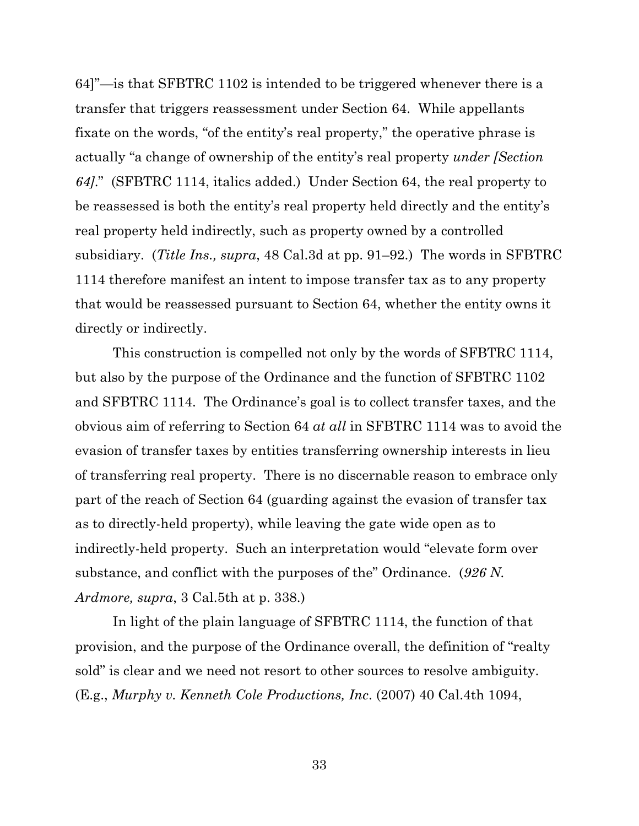64]"—is that SFBTRC 1102 is intended to be triggered whenever there is a transfer that triggers reassessment under Section 64. While appellants fixate on the words, "of the entity's real property," the operative phrase is actually "a change of ownership of the entity's real property *under [Section 64]*." (SFBTRC 1114, italics added.) Under Section 64, the real property to be reassessed is both the entity's real property held directly and the entity's real property held indirectly, such as property owned by a controlled subsidiary. (*Title Ins., supra*, 48 Cal.3d at pp. 91–92.) The words in SFBTRC 1114 therefore manifest an intent to impose transfer tax as to any property that would be reassessed pursuant to Section 64, whether the entity owns it directly or indirectly.

This construction is compelled not only by the words of SFBTRC 1114, but also by the purpose of the Ordinance and the function of SFBTRC 1102 and SFBTRC 1114. The Ordinance's goal is to collect transfer taxes, and the obvious aim of referring to Section 64 *at all* in SFBTRC 1114 was to avoid the evasion of transfer taxes by entities transferring ownership interests in lieu of transferring real property. There is no discernable reason to embrace only part of the reach of Section 64 (guarding against the evasion of transfer tax as to directly-held property), while leaving the gate wide open as to indirectly-held property. Such an interpretation would "elevate form over substance, and conflict with the purposes of the" Ordinance. (*926 N. Ardmore, supra*, 3 Cal.5th at p. 338.)

In light of the plain language of SFBTRC 1114, the function of that provision, and the purpose of the Ordinance overall, the definition of "realty sold" is clear and we need not resort to other sources to resolve ambiguity. (E.g., *Murphy v. Kenneth Cole Productions, Inc*. (2007) 40 Cal.4th 1094,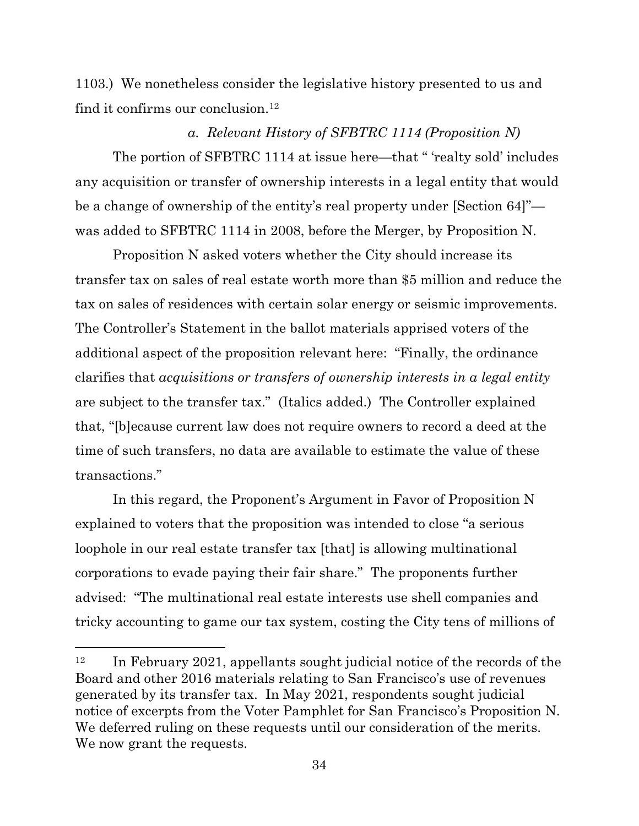1103.) We nonetheless consider the legislative history presented to us and find it confirms our conclusion.<sup>12</sup>

### *a. Relevant History of SFBTRC 1114 (Proposition N)*

The portion of SFBTRC 1114 at issue here—that " 'realty sold' includes any acquisition or transfer of ownership interests in a legal entity that would be a change of ownership of the entity's real property under [Section 64]" was added to SFBTRC 1114 in 2008, before the Merger, by Proposition N.

Proposition N asked voters whether the City should increase its transfer tax on sales of real estate worth more than \$5 million and reduce the tax on sales of residences with certain solar energy or seismic improvements. The Controller's Statement in the ballot materials apprised voters of the additional aspect of the proposition relevant here: "Finally, the ordinance clarifies that *acquisitions or transfers of ownership interests in a legal entity* are subject to the transfer tax." (Italics added.) The Controller explained that, "[b]ecause current law does not require owners to record a deed at the time of such transfers, no data are available to estimate the value of these transactions."

In this regard, the Proponent's Argument in Favor of Proposition N explained to voters that the proposition was intended to close "a serious loophole in our real estate transfer tax [that] is allowing multinational corporations to evade paying their fair share." The proponents further advised: "The multinational real estate interests use shell companies and tricky accounting to game our tax system, costing the City tens of millions of

 $12$  In February 2021, appellants sought judicial notice of the records of the Board and other 2016 materials relating to San Francisco's use of revenues generated by its transfer tax. In May 2021, respondents sought judicial notice of excerpts from the Voter Pamphlet for San Francisco's Proposition N. We deferred ruling on these requests until our consideration of the merits. We now grant the requests.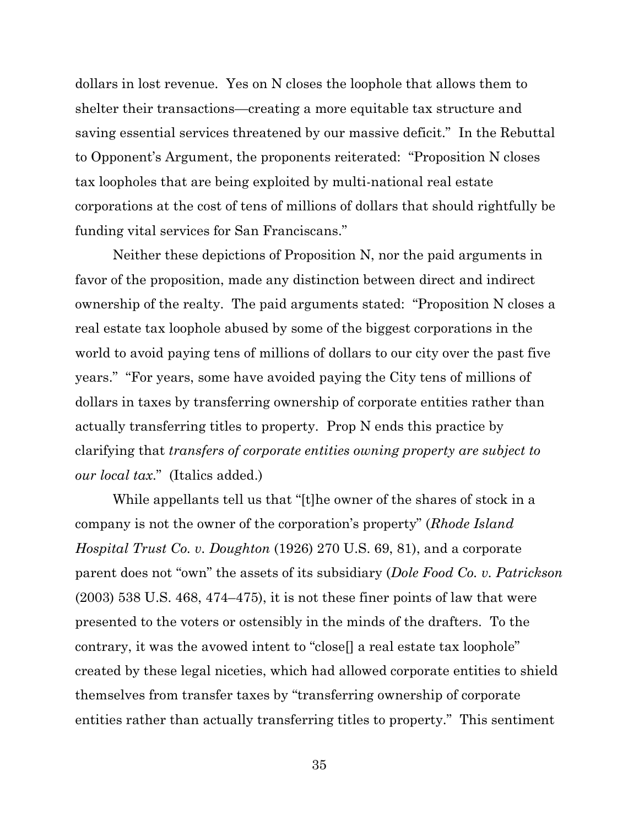dollars in lost revenue. Yes on N closes the loophole that allows them to shelter their transactions—creating a more equitable tax structure and saving essential services threatened by our massive deficit." In the Rebuttal to Opponent's Argument, the proponents reiterated: "Proposition N closes tax loopholes that are being exploited by multi-national real estate corporations at the cost of tens of millions of dollars that should rightfully be funding vital services for San Franciscans."

Neither these depictions of Proposition N, nor the paid arguments in favor of the proposition, made any distinction between direct and indirect ownership of the realty. The paid arguments stated: "Proposition N closes a real estate tax loophole abused by some of the biggest corporations in the world to avoid paying tens of millions of dollars to our city over the past five years." "For years, some have avoided paying the City tens of millions of dollars in taxes by transferring ownership of corporate entities rather than actually transferring titles to property. Prop N ends this practice by clarifying that *transfers of corporate entities owning property are subject to our local tax*." (Italics added.)

While appellants tell us that "[t]he owner of the shares of stock in a company is not the owner of the corporation's property" (*Rhode Island Hospital Trust Co. v. Doughton* (1926) 270 U.S. 69, 81), and a corporate parent does not "own" the assets of its subsidiary (*Dole Food Co. v. Patrickson* (2003) 538 U.S. 468, 474–475), it is not these finer points of law that were presented to the voters or ostensibly in the minds of the drafters. To the contrary, it was the avowed intent to "close[] a real estate tax loophole" created by these legal niceties, which had allowed corporate entities to shield themselves from transfer taxes by "transferring ownership of corporate entities rather than actually transferring titles to property." This sentiment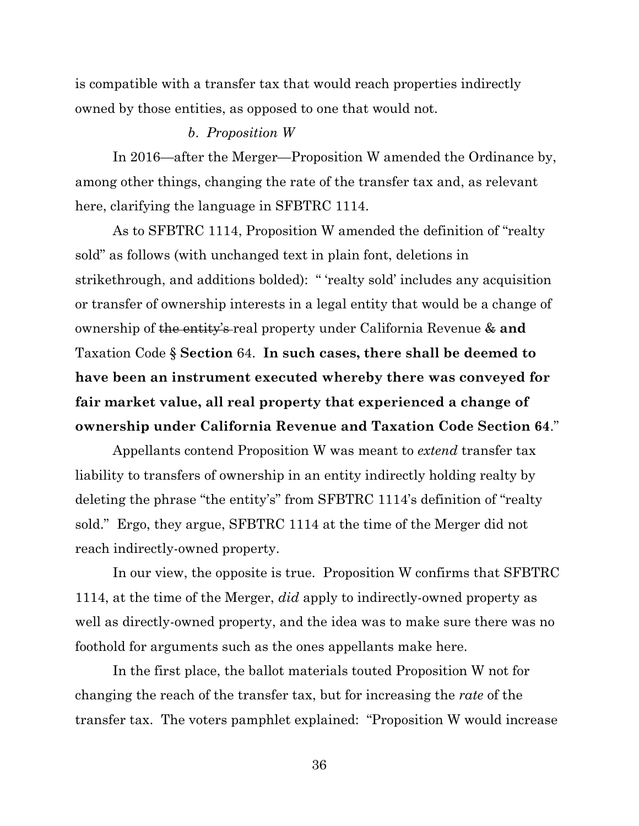is compatible with a transfer tax that would reach properties indirectly owned by those entities, as opposed to one that would not.

### *b*. *Proposition W*

In 2016—after the Merger—Proposition W amended the Ordinance by, among other things, changing the rate of the transfer tax and, as relevant here, clarifying the language in SFBTRC 1114.

As to SFBTRC 1114, Proposition W amended the definition of "realty sold" as follows (with unchanged text in plain font, deletions in strikethrough, and additions bolded): " 'realty sold' includes any acquisition or transfer of ownership interests in a legal entity that would be a change of ownership of the entity's real property under California Revenue & **and** Taxation Code § **Section** 64. **In such cases, there shall be deemed to have been an instrument executed whereby there was conveyed for fair market value, all real property that experienced a change of ownership under California Revenue and Taxation Code Section 64**."

Appellants contend Proposition W was meant to *extend* transfer tax liability to transfers of ownership in an entity indirectly holding realty by deleting the phrase "the entity's" from SFBTRC 1114's definition of "realty sold." Ergo, they argue, SFBTRC 1114 at the time of the Merger did not reach indirectly-owned property.

In our view, the opposite is true. Proposition W confirms that SFBTRC 1114, at the time of the Merger, *did* apply to indirectly-owned property as well as directly-owned property, and the idea was to make sure there was no foothold for arguments such as the ones appellants make here.

In the first place, the ballot materials touted Proposition W not for changing the reach of the transfer tax, but for increasing the *rate* of the transfer tax. The voters pamphlet explained: "Proposition W would increase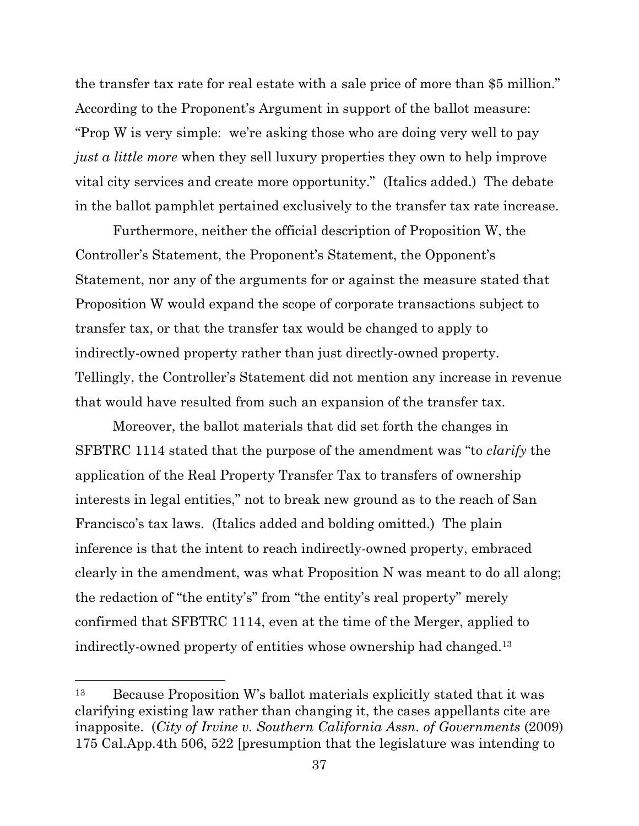the transfer tax rate for real estate with a sale price of more than \$5 million." According to the Proponent's Argument in support of the ballot measure: "Prop W is very simple: we're asking those who are doing very well to pay *just a little more* when they sell luxury properties they own to help improve vital city services and create more opportunity." (Italics added.) The debate in the ballot pamphlet pertained exclusively to the transfer tax rate increase.

Furthermore, neither the official description of Proposition W, the Controller's Statement, the Proponent's Statement, the Opponent's Statement, nor any of the arguments for or against the measure stated that Proposition W would expand the scope of corporate transactions subject to transfer tax, or that the transfer tax would be changed to apply to indirectly-owned property rather than just directly-owned property. Tellingly, the Controller's Statement did not mention any increase in revenue that would have resulted from such an expansion of the transfer tax.

Moreover, the ballot materials that did set forth the changes in SFBTRC 1114 stated that the purpose of the amendment was "to *clarify* the application of the Real Property Transfer Tax to transfers of ownership interests in legal entities," not to break new ground as to the reach of San Francisco's tax laws. (Italics added and bolding omitted.) The plain inference is that the intent to reach indirectly-owned property, embraced clearly in the amendment, was what Proposition N was meant to do all along; the redaction of "the entity's" from "the entity's real property" merely confirmed that SFBTRC 1114, even at the time of the Merger, applied to indirectly-owned property of entities whose ownership had changed. 13

<sup>13</sup> Because Proposition W's ballot materials explicitly stated that it was clarifying existing law rather than changing it, the cases appellants cite are inapposite. (*City of Irvine v. Southern California Assn. of Governments* (2009) 175 Cal.App.4th 506, 522 [presumption that the legislature was intending to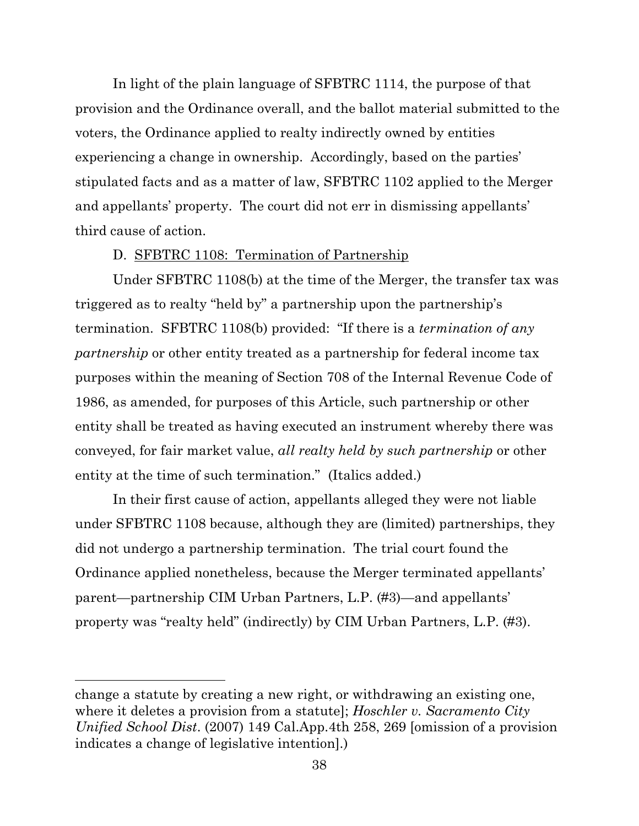In light of the plain language of SFBTRC 1114, the purpose of that provision and the Ordinance overall, and the ballot material submitted to the voters, the Ordinance applied to realty indirectly owned by entities experiencing a change in ownership. Accordingly, based on the parties' stipulated facts and as a matter of law, SFBTRC 1102 applied to the Merger and appellants' property. The court did not err in dismissing appellants' third cause of action.

## D. SFBTRC 1108: Termination of Partnership

Under SFBTRC 1108(b) at the time of the Merger, the transfer tax was triggered as to realty "held by" a partnership upon the partnership's termination. SFBTRC 1108(b) provided: "If there is a *termination of any partnership* or other entity treated as a partnership for federal income tax purposes within the meaning of Section 708 of the Internal Revenue Code of 1986, as amended, for purposes of this Article, such partnership or other entity shall be treated as having executed an instrument whereby there was conveyed, for fair market value, *all realty held by such partnership* or other entity at the time of such termination." (Italics added.)

In their first cause of action, appellants alleged they were not liable under SFBTRC 1108 because, although they are (limited) partnerships, they did not undergo a partnership termination. The trial court found the Ordinance applied nonetheless, because the Merger terminated appellants' parent—partnership CIM Urban Partners, L.P. (#3)—and appellants' property was "realty held" (indirectly) by CIM Urban Partners, L.P. (#3).

change a statute by creating a new right, or withdrawing an existing one, where it deletes a provision from a statute]; *Hoschler v. Sacramento City Unified School Dist*. (2007) 149 Cal.App.4th 258, 269 [omission of a provision indicates a change of legislative intention].)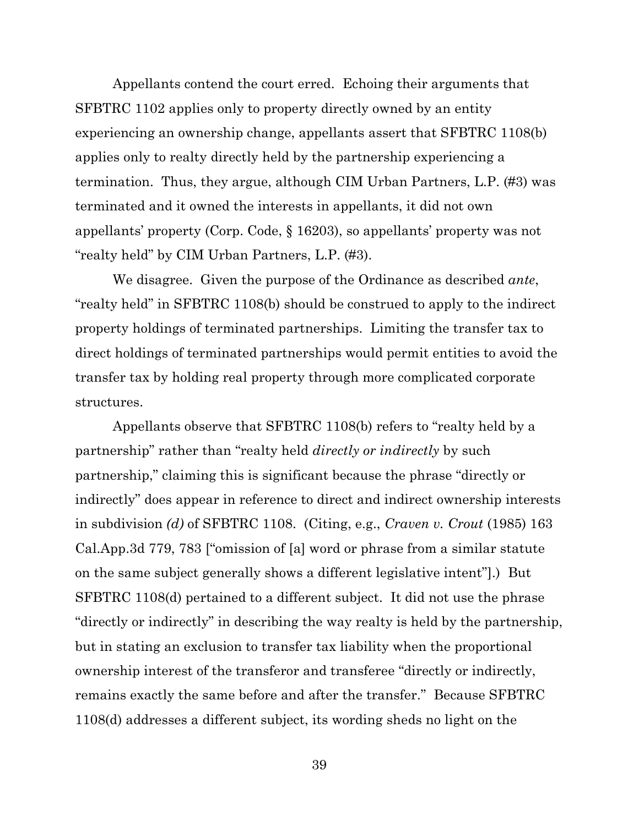Appellants contend the court erred. Echoing their arguments that SFBTRC 1102 applies only to property directly owned by an entity experiencing an ownership change, appellants assert that SFBTRC 1108(b) applies only to realty directly held by the partnership experiencing a termination. Thus, they argue, although CIM Urban Partners, L.P. (#3) was terminated and it owned the interests in appellants, it did not own appellants' property (Corp. Code, § 16203), so appellants' property was not "realty held" by CIM Urban Partners, L.P. (#3).

We disagree. Given the purpose of the Ordinance as described *ante*, "realty held" in SFBTRC 1108(b) should be construed to apply to the indirect property holdings of terminated partnerships. Limiting the transfer tax to direct holdings of terminated partnerships would permit entities to avoid the transfer tax by holding real property through more complicated corporate structures.

Appellants observe that SFBTRC 1108(b) refers to "realty held by a partnership" rather than "realty held *directly or indirectly* by such partnership," claiming this is significant because the phrase "directly or indirectly" does appear in reference to direct and indirect ownership interests in subdivision *(d)* of SFBTRC 1108. (Citing, e.g., *Craven v. Crout* (1985) 163 Cal.App.3d 779, 783 ["omission of [a] word or phrase from a similar statute on the same subject generally shows a different legislative intent"].) But SFBTRC 1108(d) pertained to a different subject. It did not use the phrase "directly or indirectly" in describing the way realty is held by the partnership, but in stating an exclusion to transfer tax liability when the proportional ownership interest of the transferor and transferee "directly or indirectly, remains exactly the same before and after the transfer." Because SFBTRC 1108(d) addresses a different subject, its wording sheds no light on the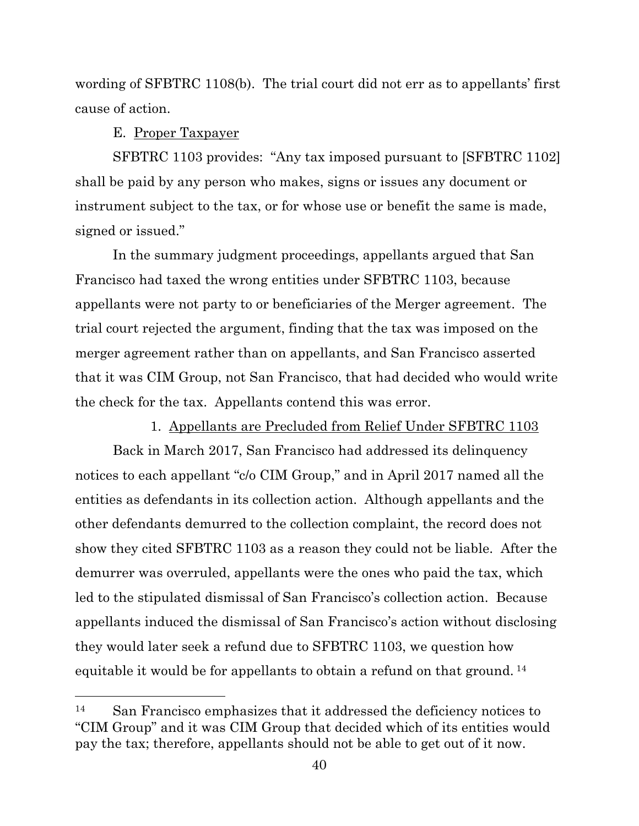wording of SFBTRC 1108(b). The trial court did not err as to appellants' first cause of action.

## E. Proper Taxpayer

SFBTRC 1103 provides: "Any tax imposed pursuant to [SFBTRC 1102] shall be paid by any person who makes, signs or issues any document or instrument subject to the tax, or for whose use or benefit the same is made, signed or issued."

In the summary judgment proceedings, appellants argued that San Francisco had taxed the wrong entities under SFBTRC 1103, because appellants were not party to or beneficiaries of the Merger agreement. The trial court rejected the argument, finding that the tax was imposed on the merger agreement rather than on appellants, and San Francisco asserted that it was CIM Group, not San Francisco, that had decided who would write the check for the tax. Appellants contend this was error.

## 1. Appellants are Precluded from Relief Under SFBTRC 1103

Back in March 2017, San Francisco had addressed its delinquency notices to each appellant "c/o CIM Group," and in April 2017 named all the entities as defendants in its collection action. Although appellants and the other defendants demurred to the collection complaint, the record does not show they cited SFBTRC 1103 as a reason they could not be liable. After the demurrer was overruled, appellants were the ones who paid the tax, which led to the stipulated dismissal of San Francisco's collection action. Because appellants induced the dismissal of San Francisco's action without disclosing they would later seek a refund due to SFBTRC 1103, we question how equitable it would be for appellants to obtain a refund on that ground. <sup>14</sup>

<sup>14</sup> San Francisco emphasizes that it addressed the deficiency notices to "CIM Group" and it was CIM Group that decided which of its entities would pay the tax; therefore, appellants should not be able to get out of it now.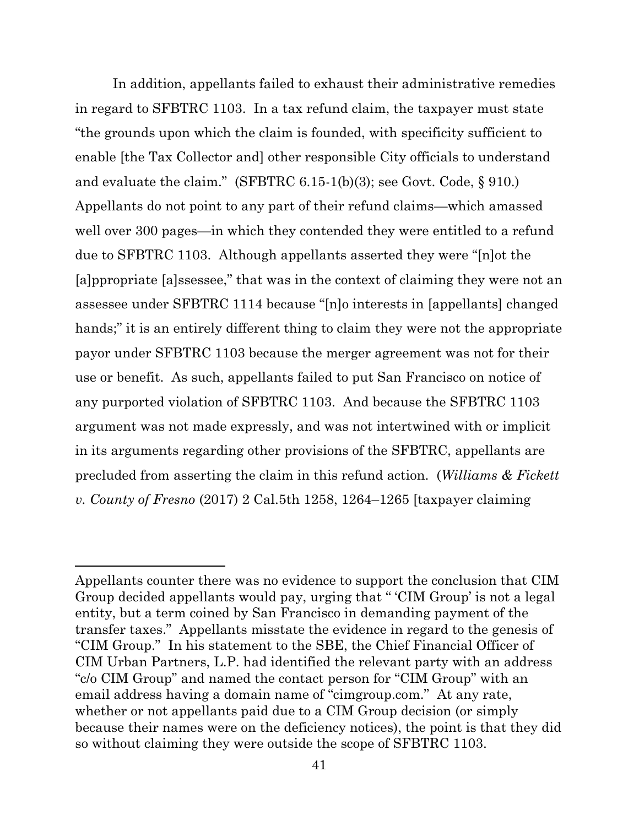In addition, appellants failed to exhaust their administrative remedies in regard to SFBTRC 1103. In a tax refund claim, the taxpayer must state "the grounds upon which the claim is founded, with specificity sufficient to enable [the Tax Collector and] other responsible City officials to understand and evaluate the claim." (SFBTRC 6.15-1(b)(3); see Govt. Code, § 910.) Appellants do not point to any part of their refund claims—which amassed well over 300 pages—in which they contended they were entitled to a refund due to SFBTRC 1103. Although appellants asserted they were "[n]ot the [a]ppropriate [a]ssessee," that was in the context of claiming they were not an assessee under SFBTRC 1114 because "[n]o interests in [appellants] changed hands;" it is an entirely different thing to claim they were not the appropriate payor under SFBTRC 1103 because the merger agreement was not for their use or benefit. As such, appellants failed to put San Francisco on notice of any purported violation of SFBTRC 1103. And because the SFBTRC 1103 argument was not made expressly, and was not intertwined with or implicit in its arguments regarding other provisions of the SFBTRC, appellants are precluded from asserting the claim in this refund action. (*Williams & Fickett v. County of Fresno* (2017) 2 Cal.5th 1258, 1264–1265 [taxpayer claiming

Appellants counter there was no evidence to support the conclusion that CIM Group decided appellants would pay, urging that " 'CIM Group' is not a legal entity, but a term coined by San Francisco in demanding payment of the transfer taxes." Appellants misstate the evidence in regard to the genesis of "CIM Group." In his statement to the SBE, the Chief Financial Officer of CIM Urban Partners, L.P. had identified the relevant party with an address "c/o CIM Group" and named the contact person for "CIM Group" with an email address having a domain name of "cimgroup.com." At any rate, whether or not appellants paid due to a CIM Group decision (or simply because their names were on the deficiency notices), the point is that they did so without claiming they were outside the scope of SFBTRC 1103.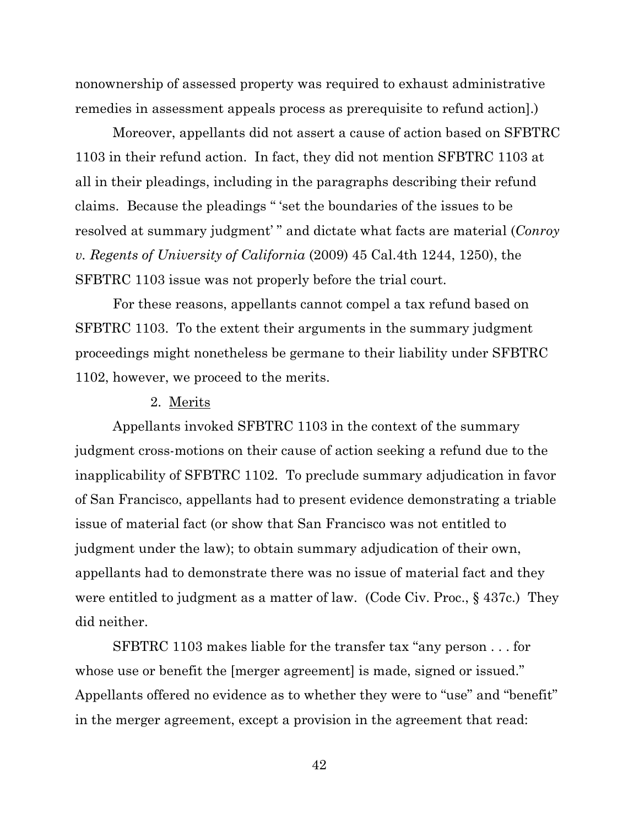nonownership of assessed property was required to exhaust administrative remedies in assessment appeals process as prerequisite to refund action].)

Moreover, appellants did not assert a cause of action based on SFBTRC 1103 in their refund action. In fact, they did not mention SFBTRC 1103 at all in their pleadings, including in the paragraphs describing their refund claims. Because the pleadings " 'set the boundaries of the issues to be resolved at summary judgment' " and dictate what facts are material (*Conroy v. Regents of University of California* (2009) 45 Cal.4th 1244, 1250), the SFBTRC 1103 issue was not properly before the trial court.

For these reasons, appellants cannot compel a tax refund based on SFBTRC 1103. To the extent their arguments in the summary judgment proceedings might nonetheless be germane to their liability under SFBTRC 1102, however, we proceed to the merits.

## 2. Merits

Appellants invoked SFBTRC 1103 in the context of the summary judgment cross-motions on their cause of action seeking a refund due to the inapplicability of SFBTRC 1102. To preclude summary adjudication in favor of San Francisco, appellants had to present evidence demonstrating a triable issue of material fact (or show that San Francisco was not entitled to judgment under the law); to obtain summary adjudication of their own, appellants had to demonstrate there was no issue of material fact and they were entitled to judgment as a matter of law. (Code Civ. Proc., § 437c.) They did neither.

SFBTRC 1103 makes liable for the transfer tax "any person . . . for whose use or benefit the [merger agreement] is made, signed or issued." Appellants offered no evidence as to whether they were to "use" and "benefit" in the merger agreement, except a provision in the agreement that read: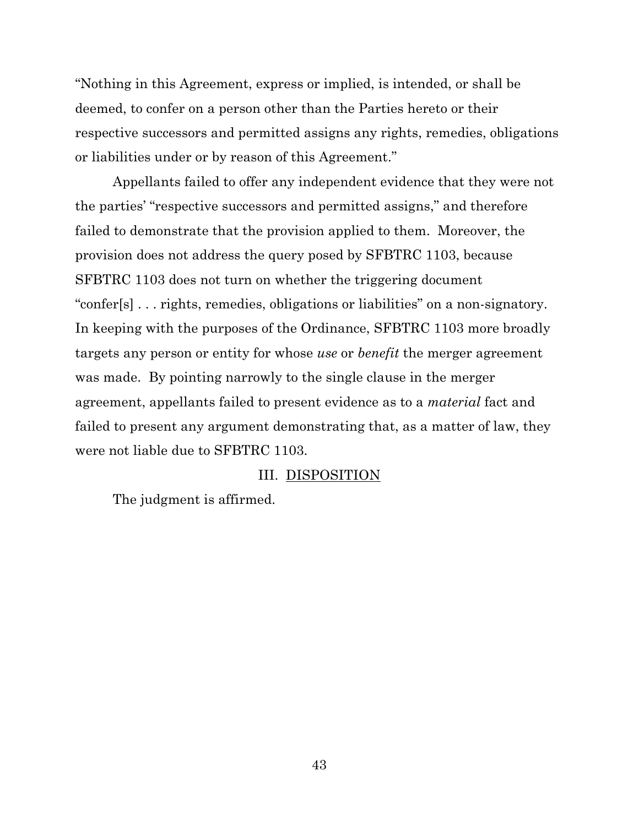"Nothing in this Agreement, express or implied, is intended, or shall be deemed, to confer on a person other than the Parties hereto or their respective successors and permitted assigns any rights, remedies, obligations or liabilities under or by reason of this Agreement."

Appellants failed to offer any independent evidence that they were not the parties' "respective successors and permitted assigns," and therefore failed to demonstrate that the provision applied to them. Moreover, the provision does not address the query posed by SFBTRC 1103, because SFBTRC 1103 does not turn on whether the triggering document "confer[s] . . . rights, remedies, obligations or liabilities" on a non-signatory. In keeping with the purposes of the Ordinance, SFBTRC 1103 more broadly targets any person or entity for whose *use* or *benefit* the merger agreement was made. By pointing narrowly to the single clause in the merger agreement, appellants failed to present evidence as to a *material* fact and failed to present any argument demonstrating that, as a matter of law, they were not liable due to SFBTRC 1103.

## III. DISPOSITION

The judgment is affirmed.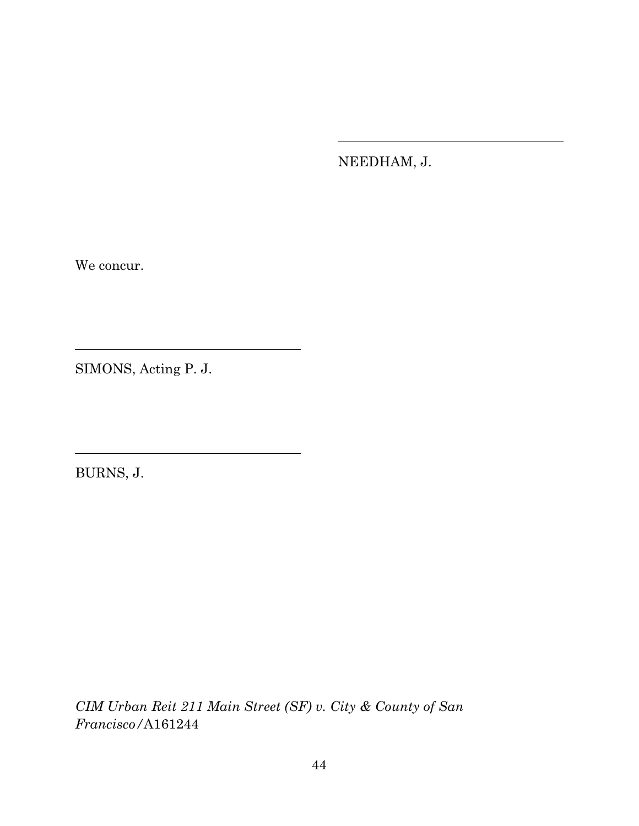NEEDHAM, J.

We concur.

SIMONS, Acting P. J.

BURNS, J.

*CIM Urban Reit 211 Main Street (SF) v. City & County of San Francisco/*A161244